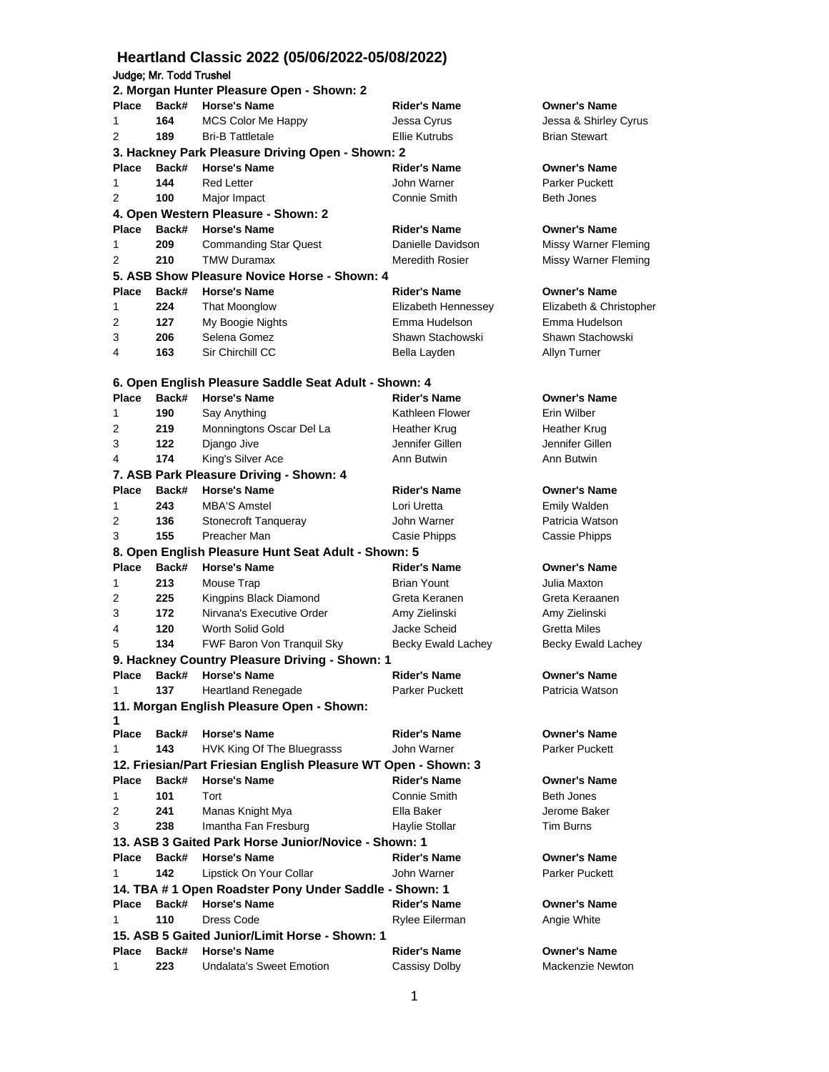# **Heartland Classic 2022 (05/06/2022-05/08/2022)** Judge; Mr. Todd Trushel

|                   |       | 2. Morgan Hunter Pleasure Open - Shown: 2                                    |                        |                         |
|-------------------|-------|------------------------------------------------------------------------------|------------------------|-------------------------|
| Place             | Back# | <b>Horse's Name</b>                                                          | <b>Rider's Name</b>    | <b>Owner's Name</b>     |
| 1                 | 164   | <b>MCS Color Me Happy</b>                                                    | Jessa Cyrus            | Jessa & Shirley Cyrus   |
| 2                 | 189   | <b>Bri-B Tattletale</b>                                                      | <b>Ellie Kutrubs</b>   | <b>Brian Stewart</b>    |
|                   |       | 3. Hackney Park Pleasure Driving Open - Shown: 2                             |                        |                         |
| <b>Place</b>      | Back# | <b>Horse's Name</b>                                                          | <b>Rider's Name</b>    | <b>Owner's Name</b>     |
| 1                 | 144   | <b>Red Letter</b>                                                            | John Warner            | <b>Parker Puckett</b>   |
| 2                 | 100   | Major Impact                                                                 | Connie Smith           | <b>Beth Jones</b>       |
|                   |       | 4. Open Western Pleasure - Shown: 2                                          |                        |                         |
| Place             | Back# | <b>Horse's Name</b>                                                          | <b>Rider's Name</b>    | <b>Owner's Name</b>     |
| 1                 | 209   | <b>Commanding Star Quest</b>                                                 | Danielle Davidson      | Missy Warner Fleming    |
| 2                 | 210   | <b>TMW Duramax</b>                                                           | <b>Meredith Rosier</b> | Missy Warner Fleming    |
|                   |       | 5. ASB Show Pleasure Novice Horse - Shown: 4                                 |                        |                         |
| <b>Place</b>      | Back# | <b>Horse's Name</b>                                                          | <b>Rider's Name</b>    | <b>Owner's Name</b>     |
| 1                 | 224   | That Moonglow                                                                | Elizabeth Hennessey    | Elizabeth & Christopher |
| 2                 | 127   | My Boogie Nights                                                             | Emma Hudelson          | Emma Hudelson           |
| 3                 | 206   | Selena Gomez                                                                 | Shawn Stachowski       | Shawn Stachowski        |
| 4                 | 163   | Sir Chirchill CC                                                             | Bella Layden           | Allyn Turner            |
|                   |       |                                                                              |                        |                         |
|                   |       | 6. Open English Pleasure Saddle Seat Adult - Shown: 4                        |                        |                         |
| <b>Place</b>      | Back# | <b>Horse's Name</b>                                                          | <b>Rider's Name</b>    | <b>Owner's Name</b>     |
| 1                 | 190   | Say Anything                                                                 | Kathleen Flower        | Erin Wilber             |
| 2                 | 219   | Monningtons Oscar Del La                                                     | Heather Krug           | Heather Krug            |
| 3                 | 122   | Django Jive                                                                  | Jennifer Gillen        | Jennifer Gillen         |
| 4                 | 174   | King's Silver Ace                                                            | Ann Butwin             | Ann Butwin              |
|                   |       | 7. ASB Park Pleasure Driving - Shown: 4                                      |                        |                         |
| <b>Place</b>      | Back# | <b>Horse's Name</b>                                                          | <b>Rider's Name</b>    | <b>Owner's Name</b>     |
| 1                 | 243   | <b>MBA'S Amstel</b>                                                          | Lori Uretta            | Emily Walden            |
| 2                 | 136   | Stonecroft Tanqueray                                                         | John Warner            | Patricia Watson         |
| 3                 | 155   | Preacher Man                                                                 | Casie Phipps           | Cassie Phipps           |
|                   |       | 8. Open English Pleasure Hunt Seat Adult - Shown: 5                          |                        |                         |
| <b>Place</b>      | Back# | <b>Horse's Name</b>                                                          | <b>Rider's Name</b>    | <b>Owner's Name</b>     |
| 1                 | 213   | Mouse Trap                                                                   | <b>Brian Yount</b>     | Julia Maxton            |
| 2                 | 225   | Kingpins Black Diamond                                                       | Greta Keranen          | Greta Keraanen          |
| 3                 | 172   | Nirvana's Executive Order                                                    | Amy Zielinski          | Amy Zielinski           |
| 4                 | 120   | Worth Solid Gold                                                             | Jacke Scheid           | Gretta Miles            |
| 5                 | 134   | FWF Baron Von Tranquil Sky                                                   | Becky Ewald Lachey     | Becky Ewald Lachey      |
|                   |       | 9. Hackney Country Pleasure Driving - Shown: 1                               |                        |                         |
| Place             | Back# | <b>Horse's Name</b>                                                          | <b>Rider's Name</b>    | <b>Owner's Name</b>     |
|                   | 137   | <b>Heartland Renegade</b>                                                    | Parker Puckett         | Patricia Watson         |
|                   |       | 11. Morgan English Pleasure Open - Shown:                                    |                        |                         |
| 1<br><b>Place</b> | Back# | <b>Horse's Name</b>                                                          | <b>Rider's Name</b>    | <b>Owner's Name</b>     |
| 1                 | 143   | HVK King Of The Bluegrasss                                                   | John Warner            | Parker Puckett          |
|                   |       | 12. Friesian/Part Friesian English Pleasure WT Open - Shown: 3               |                        |                         |
| <b>Place</b>      | Back# | <b>Horse's Name</b>                                                          | <b>Rider's Name</b>    | <b>Owner's Name</b>     |
| 1                 | 101   | Tort                                                                         | Connie Smith           | Beth Jones              |
| 2                 | 241   | Manas Knight Mya                                                             | Ella Baker             | Jerome Baker            |
| 3                 | 238   | Imantha Fan Fresburg                                                         | Haylie Stollar         | Tim Burns               |
|                   |       | 13. ASB 3 Gaited Park Horse Junior/Novice - Shown: 1                         |                        |                         |
| <b>Place</b>      | Back# | <b>Horse's Name</b>                                                          | <b>Rider's Name</b>    | <b>Owner's Name</b>     |
|                   |       |                                                                              |                        |                         |
| 1                 | 142   | Lipstick On Your Collar                                                      | John Warner            | Parker Puckett          |
| <b>Place</b>      | Back# | 14. TBA #1 Open Roadster Pony Under Saddle - Shown: 1<br><b>Horse's Name</b> | <b>Rider's Name</b>    | <b>Owner's Name</b>     |
|                   |       |                                                                              |                        |                         |
| 1                 | 110   | Dress Code                                                                   | Rylee Eilerman         | Angie White             |
|                   |       | 15. ASB 5 Gaited Junior/Limit Horse - Shown: 1                               |                        |                         |
| Place             | Back# | <b>Horse's Name</b>                                                          | <b>Rider's Name</b>    | <b>Owner's Name</b>     |
| 1                 | 223   | <b>Undalata's Sweet Emotion</b>                                              | Cassisy Dolby          | Mackenzie Newton        |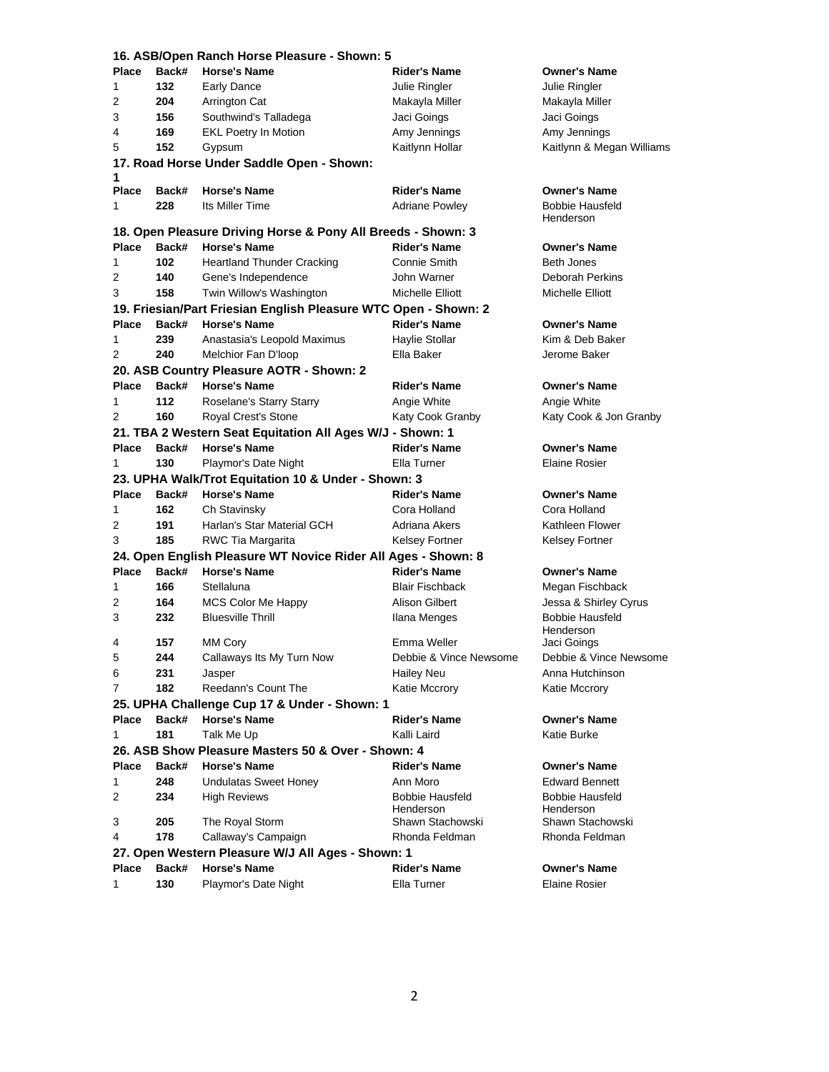|              |       | 16. ASB/Open Ranch Horse Pleasure - Shown: 5                    |                                     |                                     |
|--------------|-------|-----------------------------------------------------------------|-------------------------------------|-------------------------------------|
| Place        | Back# | <b>Horse's Name</b>                                             | Rider's Name                        | <b>Owner's Name</b>                 |
| 1            | 132   | Early Dance                                                     | Julie Ringler                       | Julie Ringler                       |
| 2            | 204   | Arrington Cat                                                   | Makayla Miller                      | Makayla Miller                      |
| 3            | 156   | Southwind's Talladega                                           | Jaci Goings                         | Jaci Goings                         |
| 4            | 169   | <b>EKL Poetry In Motion</b>                                     | Amy Jennings                        | Amy Jennings                        |
| 5            | 152   | Gypsum                                                          | Kaitlynn Hollar                     | Kaitlynn & Megan Williams           |
| 1            |       | 17. Road Horse Under Saddle Open - Shown:                       |                                     |                                     |
| <b>Place</b> | Back# | <b>Horse's Name</b>                                             | <b>Rider's Name</b>                 | <b>Owner's Name</b>                 |
| 1            | 228   | Its Miller Time                                                 | <b>Adriane Powley</b>               | <b>Bobbie Hausfeld</b><br>Henderson |
|              |       | 18. Open Pleasure Driving Horse & Pony All Breeds - Shown: 3    |                                     |                                     |
| <b>Place</b> | Back# | <b>Horse's Name</b>                                             | <b>Rider's Name</b>                 | <b>Owner's Name</b>                 |
| 1            | 102   | <b>Heartland Thunder Cracking</b>                               | Connie Smith                        | <b>Beth Jones</b>                   |
| 2            | 140   | Gene's Independence                                             | John Warner                         | Deborah Perkins                     |
| 3            | 158   | Twin Willow's Washington                                        | Michelle Elliott                    | Michelle Elliott                    |
|              |       | 19. Friesian/Part Friesian English Pleasure WTC Open - Shown: 2 |                                     |                                     |
| <b>Place</b> | Back# | <b>Horse's Name</b>                                             | <b>Rider's Name</b>                 | <b>Owner's Name</b>                 |
| 1            | 239   | Anastasia's Leopold Maximus                                     | Haylie Stollar                      | Kim & Deb Baker                     |
| 2            | 240   | Melchior Fan D'Ioop                                             | Ella Baker                          | Jerome Baker                        |
|              |       | 20. ASB Country Pleasure AOTR - Shown: 2                        |                                     |                                     |
| <b>Place</b> | Back# | <b>Horse's Name</b>                                             | <b>Rider's Name</b>                 | <b>Owner's Name</b>                 |
| 1            | 112   | Roselane's Starry Starry                                        | Angie White                         | Angie White                         |
| 2            | 160   | Royal Crest's Stone                                             | Katy Cook Granby                    | Katy Cook & Jon Granby              |
|              |       | 21. TBA 2 Western Seat Equitation All Ages W/J - Shown: 1       |                                     |                                     |
| <b>Place</b> | Back# | <b>Horse's Name</b>                                             | <b>Rider's Name</b>                 | <b>Owner's Name</b>                 |
| 1            | 130   | Playmor's Date Night                                            | Ella Turner                         | <b>Elaine Rosier</b>                |
|              |       | 23. UPHA Walk/Trot Equitation 10 & Under - Shown: 3             |                                     |                                     |
| <b>Place</b> | Back# | <b>Horse's Name</b>                                             | <b>Rider's Name</b>                 | <b>Owner's Name</b>                 |
|              |       |                                                                 |                                     |                                     |
|              |       |                                                                 |                                     |                                     |
| 1            | 162   | Ch Stavinsky                                                    | Cora Holland                        | Cora Holland                        |
| 2            | 191   | Harlan's Star Material GCH                                      | Adriana Akers                       | Kathleen Flower                     |
| 3            | 185   | RWC Tia Margarita                                               | Kelsey Fortner                      | Kelsey Fortner                      |
|              |       | 24. Open English Pleasure WT Novice Rider All Ages - Shown: 8   |                                     |                                     |
| <b>Place</b> | Back# | <b>Horse's Name</b>                                             | <b>Rider's Name</b>                 | <b>Owner's Name</b>                 |
| 1            | 166   | Stellaluna                                                      | <b>Blair Fischback</b>              | Megan Fischback                     |
| 2            | 164   | <b>MCS Color Me Happy</b>                                       | <b>Alison Gilbert</b>               | Jessa & Shirley Cyrus               |
| 3            | 232   | <b>Bluesville Thrill</b>                                        | Ilana Menges                        | <b>Bobbie Hausfeld</b><br>Henderson |
| 4            | 157   | MM Cory                                                         | Emma Weller                         | Jaci Goings                         |
| 5            | 244   | Callaways Its My Turn Now                                       | Debbie & Vince Newsome              | Debbie & Vince Newsome              |
| 6            | 231   | Jasper                                                          | Hailey Neu                          | Anna Hutchinson                     |
| 7            | 182   | Reedann's Count The                                             | Katie Mccrory                       | Katie Mccrory                       |
|              |       | 25. UPHA Challenge Cup 17 & Under - Shown: 1                    |                                     |                                     |
| <b>Place</b> | Back# | <b>Horse's Name</b>                                             | <b>Rider's Name</b>                 | <b>Owner's Name</b>                 |
| 1            | 181   | Talk Me Up                                                      | Kalli Laird                         | Katie Burke                         |
|              |       | 26. ASB Show Pleasure Masters 50 & Over - Shown: 4              |                                     |                                     |
| <b>Place</b> | Back# | <b>Horse's Name</b>                                             | <b>Rider's Name</b>                 | <b>Owner's Name</b>                 |
| 1.           | 248   | <b>Undulatas Sweet Honey</b>                                    | Ann Moro                            | <b>Edward Bennett</b>               |
| 2            | 234   | <b>High Reviews</b>                                             | <b>Bobbie Hausfeld</b><br>Henderson | <b>Bobbie Hausfeld</b><br>Henderson |
| 3            | 205   | The Royal Storm                                                 | Shawn Stachowski                    | Shawn Stachowski                    |
| 4            | 178   | Callaway's Campaign                                             | Rhonda Feldman                      | Rhonda Feldman                      |
|              |       | 27. Open Western Pleasure W/J All Ages - Shown: 1               |                                     |                                     |
| <b>Place</b> | Back# | <b>Horse's Name</b>                                             | <b>Rider's Name</b>                 | <b>Owner's Name</b>                 |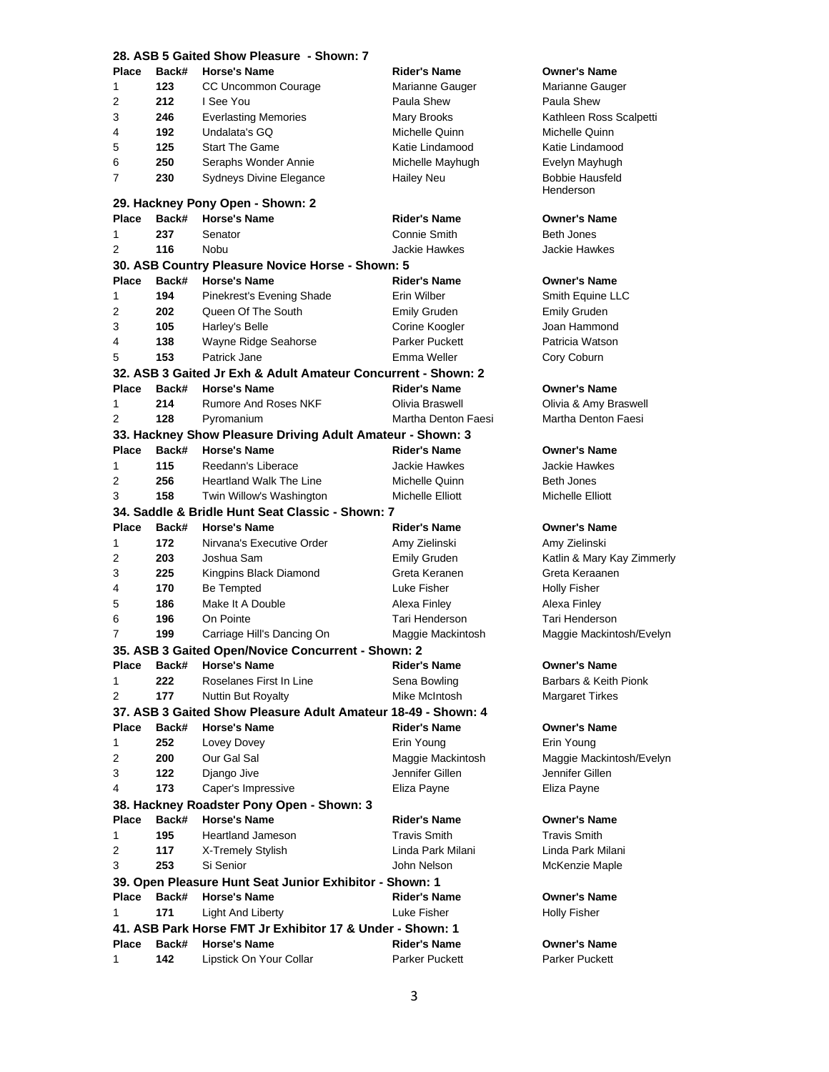|              | 28. ASB 5 Gaited Show Pleasure - Shown: 7 |                                                                           |                       |                                     |  |
|--------------|-------------------------------------------|---------------------------------------------------------------------------|-----------------------|-------------------------------------|--|
| <b>Place</b> | Back#                                     | <b>Horse's Name</b>                                                       | <b>Rider's Name</b>   | <b>Owner's Name</b>                 |  |
| 1            | 123                                       | CC Uncommon Courage                                                       | Marianne Gauger       | Marianne Gauger                     |  |
| 2            | 212                                       | I See You                                                                 | Paula Shew            | Paula Shew                          |  |
| 3            | 246                                       | <b>Everlasting Memories</b>                                               | Mary Brooks           | Kathleen Ross Scalpetti             |  |
| 4            | 192                                       | Undalata's GQ                                                             | Michelle Quinn        | Michelle Quinn                      |  |
| 5            | 125                                       | <b>Start The Game</b>                                                     | Katie Lindamood       | Katie Lindamood                     |  |
| 6            | 250                                       | Seraphs Wonder Annie                                                      | Michelle Mayhugh      | Evelyn Mayhugh                      |  |
| 7            | 230                                       | Sydneys Divine Elegance                                                   | <b>Hailey Neu</b>     | <b>Bobbie Hausfeld</b><br>Henderson |  |
|              |                                           | 29. Hackney Pony Open - Shown: 2                                          |                       |                                     |  |
| <b>Place</b> | Back#                                     | <b>Horse's Name</b>                                                       | <b>Rider's Name</b>   | <b>Owner's Name</b>                 |  |
| 1            | 237                                       | Senator                                                                   | Connie Smith          | <b>Beth Jones</b>                   |  |
| 2            | 116                                       | Nobu                                                                      | Jackie Hawkes         | Jackie Hawkes                       |  |
|              |                                           | 30. ASB Country Pleasure Novice Horse - Shown: 5                          |                       |                                     |  |
| <b>Place</b> | Back#                                     | <b>Horse's Name</b>                                                       | <b>Rider's Name</b>   | <b>Owner's Name</b>                 |  |
| 1            | 194                                       | Pinekrest's Evening Shade                                                 | Erin Wilber           | Smith Equine LLC                    |  |
| 2            | 202                                       | Queen Of The South                                                        | <b>Emily Gruden</b>   | <b>Emily Gruden</b>                 |  |
| 3            | 105                                       | Harley's Belle                                                            | Corine Koogler        | Joan Hammond                        |  |
| 4            | 138                                       | Wayne Ridge Seahorse                                                      | <b>Parker Puckett</b> | Patricia Watson                     |  |
| 5            | 153                                       | Patrick Jane                                                              | Emma Weller           | Cory Coburn                         |  |
|              |                                           | 32. ASB 3 Gaited Jr Exh & Adult Amateur Concurrent - Shown: 2             |                       |                                     |  |
| Place        | Back#                                     | <b>Horse's Name</b>                                                       | <b>Rider's Name</b>   | <b>Owner's Name</b>                 |  |
| 1            | 214                                       | <b>Rumore And Roses NKF</b>                                               | Olivia Braswell       | Olivia & Amy Braswell               |  |
| 2            | 128                                       | Pyromanium                                                                | Martha Denton Faesi   | Martha Denton Faesi                 |  |
|              |                                           | 33. Hackney Show Pleasure Driving Adult Amateur - Shown: 3                |                       |                                     |  |
| Place        | Back#                                     | <b>Horse's Name</b>                                                       | <b>Rider's Name</b>   | <b>Owner's Name</b>                 |  |
| 1            | 115                                       | Reedann's Liberace                                                        | Jackie Hawkes         | Jackie Hawkes                       |  |
| 2            | 256                                       | <b>Heartland Walk The Line</b>                                            | Michelle Quinn        | <b>Beth Jones</b>                   |  |
| 3            | 158                                       | Twin Willow's Washington                                                  | Michelle Elliott      | Michelle Elliott                    |  |
|              |                                           | 34. Saddle & Bridle Hunt Seat Classic - Shown: 7                          |                       |                                     |  |
| <b>Place</b> | Back#                                     | <b>Horse's Name</b>                                                       | <b>Rider's Name</b>   | <b>Owner's Name</b>                 |  |
| 1            | 172                                       | Nirvana's Executive Order                                                 | Amy Zielinski         | Amy Zielinski                       |  |
| 2            | 203                                       | Joshua Sam                                                                | <b>Emily Gruden</b>   | Katlin & Mary Kay Zimmerly          |  |
| 3            | 225                                       | Kingpins Black Diamond                                                    | Greta Keranen         | Greta Keraanen                      |  |
| 4            | 170                                       | <b>Be Tempted</b>                                                         | Luke Fisher           | <b>Holly Fisher</b>                 |  |
| 5            | 186                                       | Make It A Double                                                          | Alexa Finley          | Alexa Finley                        |  |
| 6            | 196                                       | On Pointe                                                                 | Tari Henderson        | Tari Henderson                      |  |
| 7            | 199                                       | Carriage Hill's Dancing On                                                | Maggie Mackintosh     | Maggie Mackintosh/Evelyn            |  |
|              |                                           |                                                                           |                       |                                     |  |
|              | Back#                                     | 35. ASB 3 Gaited Open/Novice Concurrent - Shown: 2<br><b>Horse's Name</b> |                       | Owner's Name                        |  |
| Place        |                                           |                                                                           | Rider's Name          |                                     |  |
| 1            | 222                                       | Roselanes First In Line                                                   | Sena Bowling          | Barbars & Keith Pionk               |  |
| 2            | 177                                       | Nuttin But Royalty                                                        | Mike McIntosh         | <b>Margaret Tirkes</b>              |  |
|              |                                           | 37. ASB 3 Gaited Show Pleasure Adult Amateur 18-49 - Shown: 4             |                       |                                     |  |
| Place        | Back#                                     | <b>Horse's Name</b>                                                       | <b>Rider's Name</b>   | <b>Owner's Name</b>                 |  |
| 1            | 252                                       | Lovey Dovey                                                               | Erin Young            | Erin Young                          |  |
| 2            | 200                                       | Our Gal Sal                                                               | Maggie Mackintosh     | Maggie Mackintosh/Evelyn            |  |
| 3            | 122                                       | Django Jive                                                               | Jennifer Gillen       | Jennifer Gillen                     |  |
| 4            | 173                                       | Caper's Impressive                                                        | Eliza Payne           | Eliza Payne                         |  |
|              |                                           | 38. Hackney Roadster Pony Open - Shown: 3                                 |                       |                                     |  |
| Place        | Back#                                     | <b>Horse's Name</b>                                                       | <b>Rider's Name</b>   | <b>Owner's Name</b>                 |  |
| 1            | 195                                       | <b>Heartland Jameson</b>                                                  | Travis Smith          | <b>Travis Smith</b>                 |  |
| 2            | 117                                       | X-Tremely Stylish                                                         | Linda Park Milani     | Linda Park Milani                   |  |
| 3            | 253                                       | Si Senior                                                                 | John Nelson           | McKenzie Maple                      |  |
|              |                                           | 39. Open Pleasure Hunt Seat Junior Exhibitor - Shown: 1                   |                       |                                     |  |
| Place        | Back#                                     | <b>Horse's Name</b>                                                       | <b>Rider's Name</b>   | <b>Owner's Name</b>                 |  |
| 1.           | 171                                       | Light And Liberty                                                         | Luke Fisher           | <b>Holly Fisher</b>                 |  |
|              |                                           | 41. ASB Park Horse FMT Jr Exhibitor 17 & Under - Shown: 1                 |                       |                                     |  |
| Place        | Back#                                     | <b>Horse's Name</b>                                                       | <b>Rider's Name</b>   | <b>Owner's Name</b>                 |  |
| 1            | 142                                       | Lipstick On Your Collar                                                   | <b>Parker Puckett</b> | Parker Puckett                      |  |
|              |                                           |                                                                           |                       |                                     |  |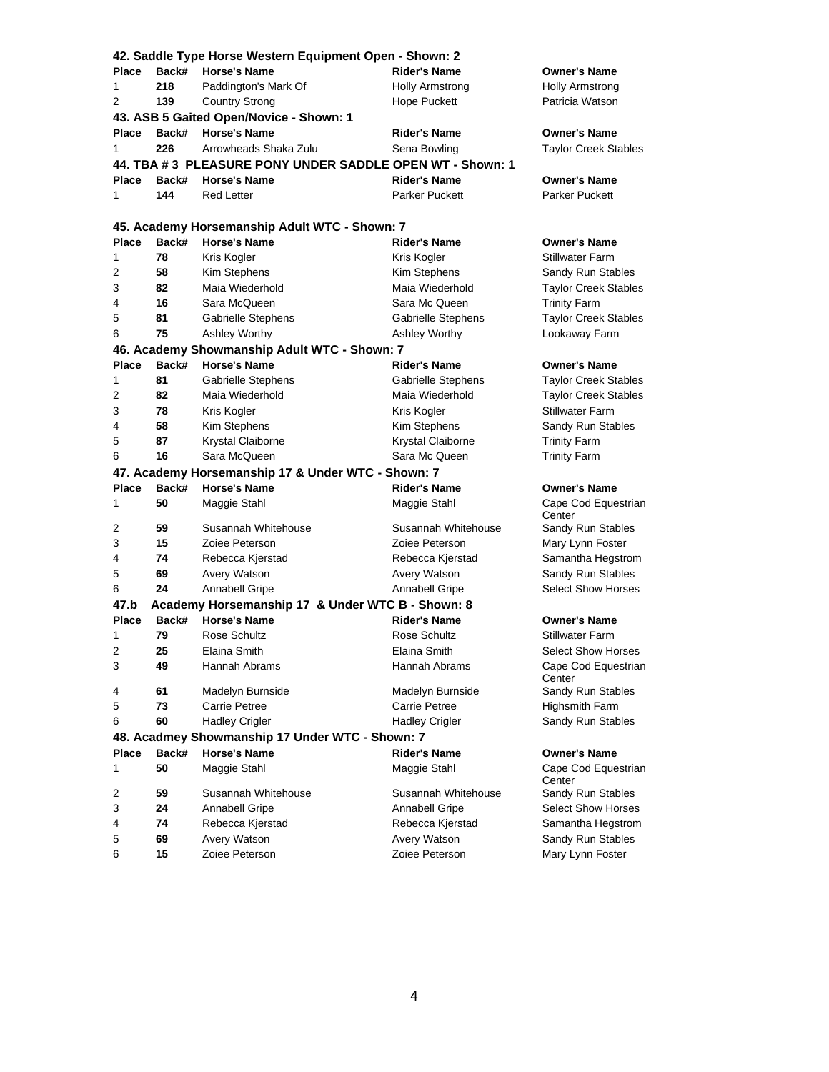|              |                                         | 42. Saddle Type Horse Western Equipment Open - Shown: 2  |                       |                               |  |  |
|--------------|-----------------------------------------|----------------------------------------------------------|-----------------------|-------------------------------|--|--|
| <b>Place</b> | Back#                                   | <b>Horse's Name</b>                                      | <b>Rider's Name</b>   | <b>Owner's Name</b>           |  |  |
| 1            | 218                                     | Paddington's Mark Of                                     | Holly Armstrong       | Holly Armstrong               |  |  |
| 2            | 139                                     | <b>Country Strong</b>                                    | <b>Hope Puckett</b>   | Patricia Watson               |  |  |
|              | 43. ASB 5 Gaited Open/Novice - Shown: 1 |                                                          |                       |                               |  |  |
| Place        | Back#                                   | <b>Horse's Name</b>                                      | <b>Rider's Name</b>   | <b>Owner's Name</b>           |  |  |
| 1            | 226                                     | Arrowheads Shaka Zulu                                    | Sena Bowling          | <b>Taylor Creek Stables</b>   |  |  |
|              |                                         | 44. TBA #3 PLEASURE PONY UNDER SADDLE OPEN WT - Shown: 1 |                       |                               |  |  |
| Place        | Back#                                   | <b>Horse's Name</b>                                      | <b>Rider's Name</b>   | <b>Owner's Name</b>           |  |  |
| 1            | 144                                     | <b>Red Letter</b>                                        | <b>Parker Puckett</b> | Parker Puckett                |  |  |
|              |                                         |                                                          |                       |                               |  |  |
|              |                                         | 45. Academy Horsemanship Adult WTC - Shown: 7            |                       |                               |  |  |
| <b>Place</b> | Back#                                   | <b>Horse's Name</b>                                      | <b>Rider's Name</b>   | <b>Owner's Name</b>           |  |  |
| 1            | 78                                      | Kris Kogler                                              | Kris Kogler           | <b>Stillwater Farm</b>        |  |  |
| 2            | 58                                      | Kim Stephens                                             | Kim Stephens          | Sandy Run Stables             |  |  |
| 3            | 82                                      | Maia Wiederhold                                          | Maia Wiederhold       | <b>Taylor Creek Stables</b>   |  |  |
| 4            | 16                                      | Sara McQueen                                             | Sara Mc Queen         | <b>Trinity Farm</b>           |  |  |
| 5            | 81                                      | Gabrielle Stephens                                       | Gabrielle Stephens    | <b>Taylor Creek Stables</b>   |  |  |
| 6            | 75                                      | Ashley Worthy                                            | Ashley Worthy         | Lookaway Farm                 |  |  |
|              |                                         | 46. Academy Showmanship Adult WTC - Shown: 7             |                       |                               |  |  |
| Place        | Back#                                   | <b>Horse's Name</b>                                      | <b>Rider's Name</b>   | <b>Owner's Name</b>           |  |  |
| 1            | 81                                      | Gabrielle Stephens                                       | Gabrielle Stephens    | <b>Taylor Creek Stables</b>   |  |  |
| 2            | 82                                      | Maia Wiederhold                                          | Maia Wiederhold       | <b>Taylor Creek Stables</b>   |  |  |
| 3            | 78                                      | Kris Kogler                                              | Kris Kogler           | <b>Stillwater Farm</b>        |  |  |
| 4            | 58                                      | Kim Stephens                                             | Kim Stephens          | Sandy Run Stables             |  |  |
| 5            | 87                                      | Krystal Claiborne                                        | Krystal Claiborne     | <b>Trinity Farm</b>           |  |  |
| 6            | 16                                      | Sara McQueen                                             | Sara Mc Queen         | <b>Trinity Farm</b>           |  |  |
|              |                                         | 47. Academy Horsemanship 17 & Under WTC - Shown: 7       |                       |                               |  |  |
| Place        | Back#                                   | <b>Horse's Name</b>                                      | <b>Rider's Name</b>   | <b>Owner's Name</b>           |  |  |
| 1            | 50                                      | Maggie Stahl                                             | Maggie Stahl          | Cape Cod Equestrian<br>Center |  |  |
| 2            | 59                                      | Susannah Whitehouse                                      | Susannah Whitehouse   | Sandy Run Stables             |  |  |
| 3            | 15                                      | Zoiee Peterson                                           | Zoiee Peterson        | Mary Lynn Foster              |  |  |
| 4            | 74                                      | Rebecca Kjerstad                                         | Rebecca Kjerstad      | Samantha Hegstrom             |  |  |
| 5            | 69                                      | Avery Watson                                             | Avery Watson          | Sandy Run Stables             |  |  |
| 6            | 24                                      | Annabell Gripe                                           | Annabell Gripe        | <b>Select Show Horses</b>     |  |  |
| 47.b         |                                         | Academy Horsemanship 17 & Under WTC B - Shown: 8         |                       |                               |  |  |
| <b>Place</b> | Back#                                   | <b>Horse's Name</b>                                      | <b>Rider's Name</b>   | <b>Owner's Name</b>           |  |  |
| 1            | 79                                      | Rose Schultz                                             | Rose Schultz          | <b>Stillwater Farm</b>        |  |  |
| 2            | 25                                      | Elaina Smith                                             | Elaina Smith          | <b>Select Show Horses</b>     |  |  |
| 3            | 49                                      | Hannah Abrams                                            | Hannah Abrams         | Cape Cod Equestrian<br>Center |  |  |
| 4            | 61                                      | Madelyn Burnside                                         | Madelyn Burnside      | Sandy Run Stables             |  |  |
| 5            | 73                                      | <b>Carrie Petree</b>                                     | <b>Carrie Petree</b>  | Highsmith Farm                |  |  |
| 6            | 60                                      | <b>Hadley Crigler</b>                                    | <b>Hadley Crigler</b> | Sandy Run Stables             |  |  |
|              |                                         | 48. Acadmey Showmanship 17 Under WTC - Shown: 7          |                       |                               |  |  |
| Place        | Back#                                   | <b>Horse's Name</b>                                      | <b>Rider's Name</b>   | <b>Owner's Name</b>           |  |  |
| 1            | 50                                      | Maggie Stahl                                             | Maggie Stahl          | Cape Cod Equestrian<br>Center |  |  |
| 2            | 59                                      | Susannah Whitehouse                                      | Susannah Whitehouse   | Sandy Run Stables             |  |  |
| 3            | 24                                      | <b>Annabell Gripe</b>                                    | Annabell Gripe        | <b>Select Show Horses</b>     |  |  |
| 4            | 74                                      | Rebecca Kjerstad                                         | Rebecca Kjerstad      | Samantha Hegstrom             |  |  |
| 5            | 69                                      | Avery Watson                                             | Avery Watson          | Sandy Run Stables             |  |  |
| 6            | 15                                      | Zoiee Peterson                                           | Zoiee Peterson        | Mary Lynn Foster              |  |  |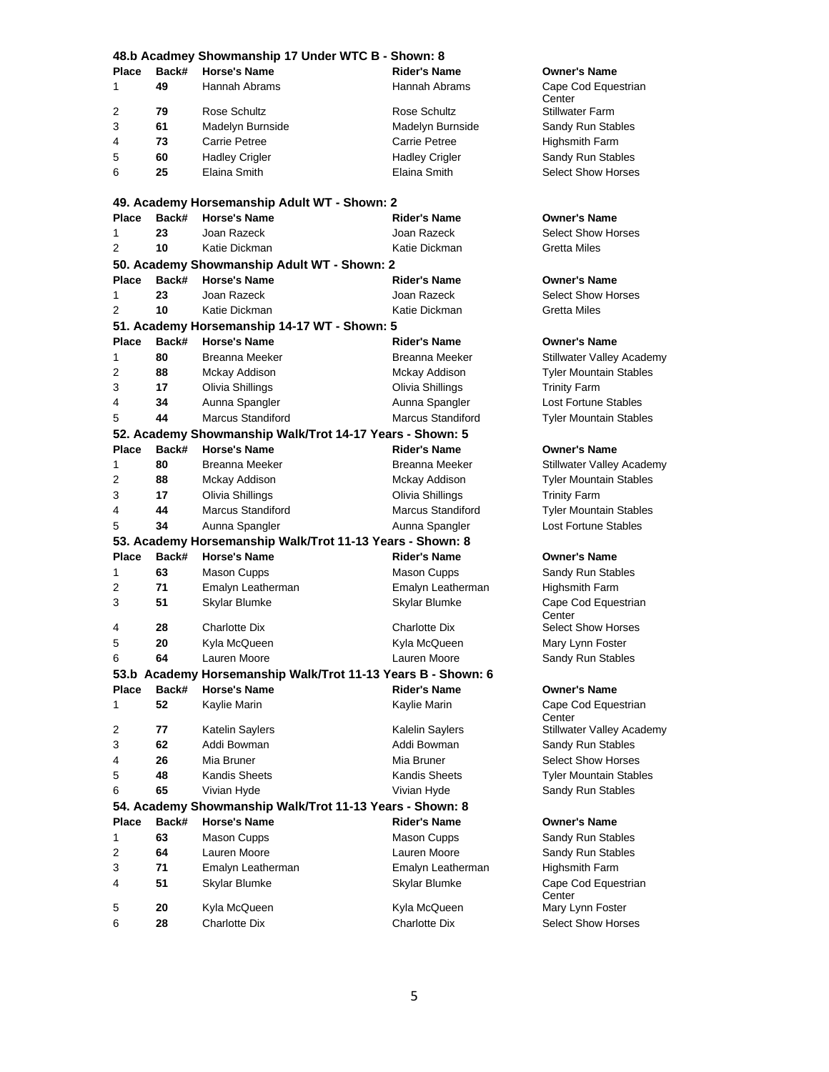|                | 48.b Acadmey Showmanship 17 Under WTC B - Shown: 8 |                                                                     |                          |                               |  |
|----------------|----------------------------------------------------|---------------------------------------------------------------------|--------------------------|-------------------------------|--|
| Place          | Back#                                              | <b>Horse's Name</b>                                                 | <b>Rider's Name</b>      | <b>Owner's Name</b>           |  |
| 1              | 49                                                 | Hannah Abrams                                                       | Hannah Abrams            | Cape Cod Equestrian           |  |
|                |                                                    |                                                                     |                          | Center                        |  |
| 2              | 79                                                 | Rose Schultz                                                        | Rose Schultz             | <b>Stillwater Farm</b>        |  |
| 3              | 61                                                 | Madelyn Burnside                                                    | Madelyn Burnside         | Sandy Run Stables             |  |
| 4              | 73                                                 | <b>Carrie Petree</b>                                                | <b>Carrie Petree</b>     | Highsmith Farm                |  |
| 5              | 60                                                 | <b>Hadley Crigler</b>                                               | <b>Hadley Crigler</b>    | Sandy Run Stables             |  |
| 6              | 25                                                 | Elaina Smith                                                        | Elaina Smith             | <b>Select Show Horses</b>     |  |
|                |                                                    | 49. Academy Horsemanship Adult WT - Shown: 2                        |                          |                               |  |
| Place          | Back#                                              | <b>Horse's Name</b>                                                 | <b>Rider's Name</b>      | <b>Owner's Name</b>           |  |
| 1              | 23                                                 | Joan Razeck                                                         | Joan Razeck              | <b>Select Show Horses</b>     |  |
| $\overline{2}$ | 10                                                 | Katie Dickman                                                       | Katie Dickman            | <b>Gretta Miles</b>           |  |
|                |                                                    |                                                                     |                          |                               |  |
| <b>Place</b>   | Back#                                              | 50. Academy Showmanship Adult WT - Shown: 2<br><b>Horse's Name</b>  | <b>Rider's Name</b>      | <b>Owner's Name</b>           |  |
| 1              | 23                                                 | Joan Razeck                                                         | Joan Razeck              | <b>Select Show Horses</b>     |  |
| 2              | 10                                                 | Katie Dickman                                                       | Katie Dickman            | <b>Gretta Miles</b>           |  |
|                |                                                    |                                                                     |                          |                               |  |
|                | Back#                                              | 51. Academy Horsemanship 14-17 WT - Shown: 5<br><b>Horse's Name</b> | Rider's Name             | <b>Owner's Name</b>           |  |
| <b>Place</b>   |                                                    |                                                                     |                          |                               |  |
| 1              | 80                                                 | Breanna Meeker                                                      | Breanna Meeker           | Stillwater Valley Academy     |  |
| 2              | 88                                                 | Mckay Addison                                                       | Mckay Addison            | <b>Tyler Mountain Stables</b> |  |
| 3              | 17                                                 | Olivia Shillings                                                    | Olivia Shillings         | <b>Trinity Farm</b>           |  |
| 4              | 34                                                 | Aunna Spangler                                                      | Aunna Spangler           | Lost Fortune Stables          |  |
| 5              | 44                                                 | <b>Marcus Standiford</b>                                            | <b>Marcus Standiford</b> | <b>Tyler Mountain Stables</b> |  |
|                |                                                    | 52. Academy Showmanship Walk/Trot 14-17 Years - Shown: 5            |                          |                               |  |
| Place          | Back#                                              | <b>Horse's Name</b>                                                 | <b>Rider's Name</b>      | Owner's Name                  |  |
| 1              | 80                                                 | Breanna Meeker                                                      | Breanna Meeker           | Stillwater Valley Academy     |  |
| 2              | 88                                                 | Mckay Addison                                                       | Mckay Addison            | <b>Tyler Mountain Stables</b> |  |
| 3              | 17                                                 | Olivia Shillings                                                    | Olivia Shillings         | <b>Trinity Farm</b>           |  |
| 4              | 44                                                 | <b>Marcus Standiford</b>                                            | <b>Marcus Standiford</b> | <b>Tyler Mountain Stables</b> |  |
| 5              | 34                                                 | Aunna Spangler                                                      | Aunna Spangler           | <b>Lost Fortune Stables</b>   |  |
|                |                                                    | 53. Academy Horsemanship Walk/Trot 11-13 Years - Shown: 8           |                          |                               |  |
| <b>Place</b>   | Back#                                              | <b>Horse's Name</b>                                                 | <b>Rider's Name</b>      | Owner's Name                  |  |
| 1              | 63                                                 | Mason Cupps                                                         | Mason Cupps              | Sandy Run Stables             |  |
| 2              | 71                                                 | Emalyn Leatherman                                                   | Emalyn Leatherman        | Highsmith Farm                |  |
| 3              | 51                                                 | Skylar Blumke                                                       | Skylar Blumke            | Cape Cod Equestrian<br>Center |  |
| 4              | 28                                                 | <b>Charlotte Dix</b>                                                | <b>Charlotte Dix</b>     | <b>Select Show Horses</b>     |  |
| 5              | 20                                                 | Kyla McQueen                                                        | Kyla McQueen             | Mary Lynn Foster              |  |
| 6              | 64                                                 | Lauren Moore                                                        | Lauren Moore             | Sandy Run Stables             |  |
|                |                                                    | 53.b Academy Horsemanship Walk/Trot 11-13 Years B - Shown: 6        |                          |                               |  |
| Place          | Back#                                              | <b>Horse's Name</b>                                                 | <b>Rider's Name</b>      | Owner's Name                  |  |
| 1              | 52                                                 | Kaylie Marin                                                        | Kaylie Marin             | Cape Cod Equestrian<br>Center |  |
| 2              | 77                                                 | Katelin Saylers                                                     | Kalelin Saylers          | Stillwater Valley Academy     |  |
| 3              | 62                                                 | Addi Bowman                                                         | Addi Bowman              | Sandy Run Stables             |  |
| 4              | 26                                                 | Mia Bruner                                                          | Mia Bruner               | <b>Select Show Horses</b>     |  |
| 5              | 48                                                 | Kandis Sheets                                                       | Kandis Sheets            | <b>Tyler Mountain Stables</b> |  |
| 6              | 65                                                 | Vivian Hyde                                                         | Vivian Hyde              | Sandy Run Stables             |  |
|                |                                                    | 54. Academy Showmanship Walk/Trot 11-13 Years - Shown: 8            |                          |                               |  |
| Place          | Back#                                              | <b>Horse's Name</b>                                                 | <b>Rider's Name</b>      | Owner's Name                  |  |
| 1              | 63                                                 | Mason Cupps                                                         | Mason Cupps              | Sandy Run Stables             |  |
| 2              | 64                                                 | Lauren Moore                                                        | Lauren Moore             | Sandy Run Stables             |  |
| 3              | 71                                                 | Emalyn Leatherman                                                   | Emalyn Leatherman        | Highsmith Farm                |  |
| 4              | 51                                                 | Skylar Blumke                                                       | Skylar Blumke            | Cape Cod Equestrian           |  |
|                |                                                    |                                                                     |                          | Center                        |  |
| 5              | 20                                                 | Kyla McQueen                                                        | Kyla McQueen             | Mary Lynn Foster              |  |
| 6              | 28                                                 | <b>Charlotte Dix</b>                                                | Charlotte Dix            | <b>Select Show Horses</b>     |  |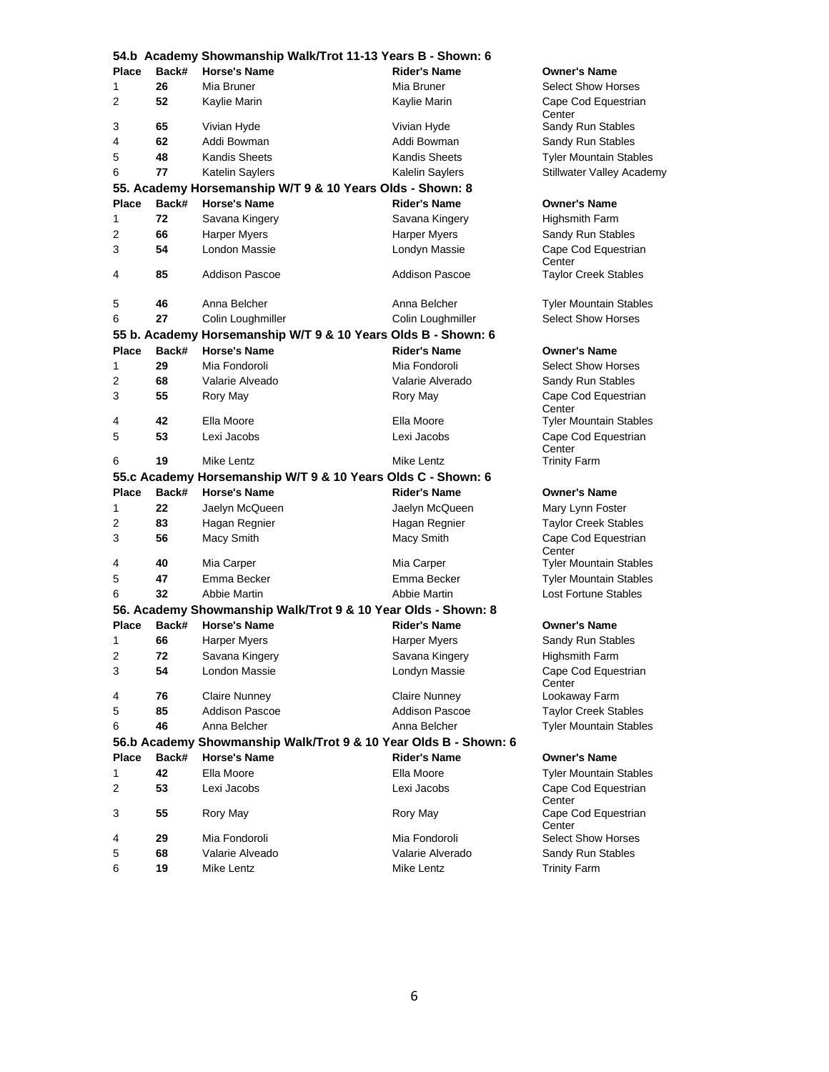|              |       | 54.b Academy Showmanship Walk/Trot 11-13 Years B - Shown: 6      |                       |                                       |
|--------------|-------|------------------------------------------------------------------|-----------------------|---------------------------------------|
| Place        | Back# | <b>Horse's Name</b>                                              | <b>Rider's Name</b>   | <b>Owner's Name</b>                   |
| 1            | 26    | Mia Bruner                                                       | Mia Bruner            | <b>Select Show Horses</b>             |
| 2            | 52    | Kaylie Marin                                                     | Kaylie Marin          | Cape Cod Equestrian<br>Center         |
| 3            | 65    | Vivian Hyde                                                      | Vivian Hyde           | Sandy Run Stables                     |
| 4            | 62    | Addi Bowman                                                      | Addi Bowman           | Sandy Run Stables                     |
| 5            | 48    | <b>Kandis Sheets</b>                                             | Kandis Sheets         | <b>Tyler Mountain Stables</b>         |
| 6            | 77    | Katelin Saylers                                                  | Kalelin Saylers       | Stillwater Valley Academy             |
|              |       | 55. Academy Horsemanship W/T 9 & 10 Years Olds - Shown: 8        |                       |                                       |
| Place        | Back# | <b>Horse's Name</b>                                              | <b>Rider's Name</b>   | <b>Owner's Name</b>                   |
| 1            | 72    | Savana Kingery                                                   | Savana Kingery        | <b>Highsmith Farm</b>                 |
| 2            | 66    | <b>Harper Myers</b>                                              | Harper Myers          | Sandy Run Stables                     |
| 3            | 54    | London Massie                                                    | Londyn Massie         | Cape Cod Equestrian                   |
| 4            | 85    | <b>Addison Pascoe</b>                                            | <b>Addison Pascoe</b> | Center<br><b>Taylor Creek Stables</b> |
|              |       |                                                                  |                       |                                       |
| 5            | 46    | Anna Belcher                                                     | Anna Belcher          | <b>Tyler Mountain Stables</b>         |
| 6            | 27    | Colin Loughmiller                                                | Colin Loughmiller     | <b>Select Show Horses</b>             |
|              |       | 55 b. Academy Horsemanship W/T 9 & 10 Years Olds B - Shown: 6    |                       |                                       |
| <b>Place</b> | Back# | <b>Horse's Name</b>                                              | <b>Rider's Name</b>   | <b>Owner's Name</b>                   |
| 1            | 29    | Mia Fondoroli                                                    | Mia Fondoroli         | <b>Select Show Horses</b>             |
| 2            | 68    | Valarie Alveado                                                  | Valarie Alverado      | Sandy Run Stables                     |
| 3            | 55    | Rory May                                                         | Rory May              | Cape Cod Equestrian<br>Center         |
| 4            | 42    | Ella Moore                                                       | Ella Moore            | <b>Tyler Mountain Stables</b>         |
| 5            | 53    | Lexi Jacobs                                                      | Lexi Jacobs           | Cape Cod Equestrian<br>Center         |
| 6            | 19    | Mike Lentz                                                       | Mike Lentz            | <b>Trinity Farm</b>                   |
|              |       | 55.c Academy Horsemanship W/T 9 & 10 Years Olds C - Shown: 6     |                       |                                       |
| <b>Place</b> | Back# | <b>Horse's Name</b>                                              | <b>Rider's Name</b>   | <b>Owner's Name</b>                   |
| 1            | 22    | Jaelyn McQueen                                                   | Jaelyn McQueen        | Mary Lynn Foster                      |
| 2            | 83    | Hagan Regnier                                                    | Hagan Regnier         | <b>Taylor Creek Stables</b>           |
| 3            | 56    | Macy Smith                                                       | Macy Smith            | Cape Cod Equestrian<br>Center         |
| 4            | 40    | Mia Carper                                                       | Mia Carper            | <b>Tyler Mountain Stables</b>         |
| 5            | 47    | Emma Becker                                                      | Emma Becker           | <b>Tyler Mountain Stables</b>         |
| 6            | 32    | Abbie Martin                                                     | Abbie Martin          | Lost Fortune Stables                  |
|              |       | 56. Academy Showmanship Walk/Trot 9 & 10 Year Olds - Shown: 8    |                       |                                       |
| Place        | Back# | <b>Horse's Name</b>                                              | Rider's Name          | <b>Owner's Name</b>                   |
| 1            | 66    | Harper Myers                                                     | Harper Myers          | Sandy Run Stables                     |
| 2            | 72    | Savana Kingery                                                   | Savana Kingery        | <b>Highsmith Farm</b>                 |
| 3            | 54    | London Massie                                                    | Londyn Massie         | Cape Cod Equestrian<br>Center         |
| 4            | 76    | <b>Claire Nunney</b>                                             | <b>Claire Nunney</b>  | Lookaway Farm                         |
| 5            | 85    | <b>Addison Pascoe</b>                                            | Addison Pascoe        | <b>Taylor Creek Stables</b>           |
| 6            | 46    | Anna Belcher                                                     | Anna Belcher          | <b>Tyler Mountain Stables</b>         |
|              |       | 56.b Academy Showmanship Walk/Trot 9 & 10 Year Olds B - Shown: 6 |                       |                                       |
| <b>Place</b> | Back# | <b>Horse's Name</b>                                              | <b>Rider's Name</b>   | <b>Owner's Name</b>                   |
| 1            | 42    | Ella Moore                                                       | Ella Moore            | <b>Tyler Mountain Stables</b>         |
| 2            | 53    | Lexi Jacobs                                                      | Lexi Jacobs           | Cape Cod Equestrian<br>Center         |
| 3            | 55    | Rory May                                                         | Rory May              | Cape Cod Equestrian<br>Center         |
| 4            | 29    | Mia Fondoroli                                                    | Mia Fondoroli         | <b>Select Show Horses</b>             |
| 5            | 68    | Valarie Alveado                                                  | Valarie Alverado      | Sandy Run Stables                     |
| 6            | 19    | Mike Lentz                                                       | Mike Lentz            | <b>Trinity Farm</b>                   |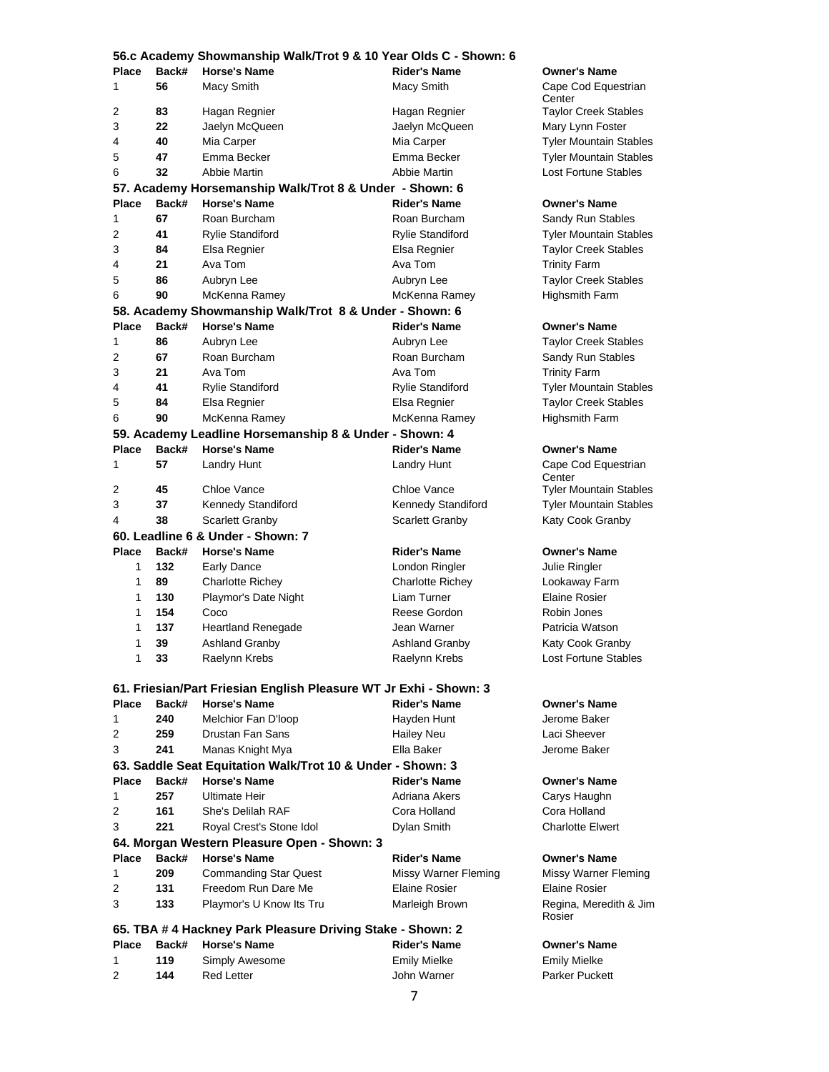|              |       | 56.c Academy Showmanship Walk/Trot 9 & 10 Year Olds C - Shown: 6  |                         |                                  |
|--------------|-------|-------------------------------------------------------------------|-------------------------|----------------------------------|
| <b>Place</b> | Back# | <b>Horse's Name</b>                                               | <b>Rider's Name</b>     | <b>Owner's Name</b>              |
| 1            | 56    | Macy Smith                                                        | Macy Smith              | Cape Cod Equestrian<br>Center    |
| 2            | 83    | Hagan Regnier                                                     | Hagan Regnier           | <b>Taylor Creek Stables</b>      |
| 3            | 22    | Jaelyn McQueen                                                    | Jaelyn McQueen          | Mary Lynn Foster                 |
| 4            | 40    | Mia Carper                                                        | Mia Carper              | <b>Tyler Mountain Stables</b>    |
| 5            | 47    | Emma Becker                                                       | Emma Becker             | <b>Tyler Mountain Stables</b>    |
| 6            | 32    | Abbie Martin                                                      | Abbie Martin            | <b>Lost Fortune Stables</b>      |
|              |       | 57. Academy Horsemanship Walk/Trot 8 & Under - Shown: 6           |                         |                                  |
| <b>Place</b> | Back# | <b>Horse's Name</b>                                               | <b>Rider's Name</b>     | <b>Owner's Name</b>              |
| 1            | 67    | Roan Burcham                                                      | Roan Burcham            | Sandy Run Stables                |
| 2            | 41    | <b>Rylie Standiford</b>                                           | Rylie Standiford        | <b>Tyler Mountain Stables</b>    |
| 3            | 84    | Elsa Regnier                                                      | Elsa Regnier            | <b>Taylor Creek Stables</b>      |
| 4            | 21    | Ava Tom                                                           | Ava Tom                 | <b>Trinity Farm</b>              |
| 5            | 86    | Aubryn Lee                                                        | Aubryn Lee              | <b>Taylor Creek Stables</b>      |
| 6            | 90    | McKenna Ramey                                                     | McKenna Ramey           | Highsmith Farm                   |
|              |       | 58. Academy Showmanship Walk/Trot 8 & Under - Shown: 6            |                         |                                  |
| <b>Place</b> | Back# | <b>Horse's Name</b>                                               | <b>Rider's Name</b>     | <b>Owner's Name</b>              |
| 1            | 86    | Aubryn Lee                                                        | Aubryn Lee              | <b>Taylor Creek Stables</b>      |
| 2            | 67    | Roan Burcham                                                      | Roan Burcham            | Sandy Run Stables                |
| 3            | 21    | Ava Tom                                                           | Ava Tom                 | <b>Trinity Farm</b>              |
| 4            | 41    | <b>Rylie Standiford</b>                                           | Rylie Standiford        | <b>Tyler Mountain Stables</b>    |
| 5            | 84    | Elsa Regnier                                                      | Elsa Regnier            | <b>Taylor Creek Stables</b>      |
| 6            | 90    | McKenna Ramey                                                     | McKenna Ramey           | <b>Highsmith Farm</b>            |
|              |       | 59. Academy Leadline Horsemanship 8 & Under - Shown: 4            |                         |                                  |
| <b>Place</b> | Back# | <b>Horse's Name</b>                                               | <b>Rider's Name</b>     | <b>Owner's Name</b>              |
| 1            | 57    | <b>Landry Hunt</b>                                                | Landry Hunt             | Cape Cod Equestrian<br>Center    |
| 2            | 45    | Chloe Vance                                                       | Chloe Vance             | <b>Tyler Mountain Stables</b>    |
| 3            | 37    | Kennedy Standiford                                                | Kennedy Standiford      | <b>Tyler Mountain Stables</b>    |
| 4            | 38    | <b>Scarlett Granby</b>                                            | <b>Scarlett Granby</b>  | Katy Cook Granby                 |
|              |       | 60. Leadline 6 & Under - Shown: 7                                 |                         |                                  |
| <b>Place</b> | Back# | <b>Horse's Name</b>                                               | <b>Rider's Name</b>     | <b>Owner's Name</b>              |
| 1            | 132   | <b>Early Dance</b>                                                | London Ringler          | Julie Ringler                    |
| 1            | 89    | <b>Charlotte Richey</b>                                           | <b>Charlotte Richev</b> | Lookaway Farm                    |
| 1            | 130   | Playmor's Date Night                                              | Liam Turner             | Elaine Rosier                    |
| 1            | 154   | Coco                                                              | Reese Gordon            | Robin Jones                      |
| 1            | 137   | <b>Heartland Renegade</b>                                         | Jean Warner             | Patricia Watson                  |
| 1            | 39    | <b>Ashland Granby</b>                                             | <b>Ashland Granby</b>   | Katy Cook Granby                 |
| 1            | 33    | Raelynn Krebs                                                     | Raelynn Krebs           | Lost Fortune Stables             |
|              |       | 61. Friesian/Part Friesian English Pleasure WT Jr Exhi - Shown: 3 |                         |                                  |
| <b>Place</b> | Back# | <b>Horse's Name</b>                                               | <b>Rider's Name</b>     | <b>Owner's Name</b>              |
| 1            | 240   | Melchior Fan D'Ioop                                               | Hayden Hunt             | Jerome Baker                     |
| 2            | 259   | Drustan Fan Sans                                                  | <b>Hailey Neu</b>       | Laci Sheever                     |
| 3            | 241   | Manas Knight Mya                                                  | Ella Baker              | Jerome Baker                     |
|              |       | 63. Saddle Seat Equitation Walk/Trot 10 & Under - Shown: 3        |                         |                                  |
| <b>Place</b> | Back# | <b>Horse's Name</b>                                               | <b>Rider's Name</b>     | <b>Owner's Name</b>              |
| 1            | 257   | Ultimate Heir                                                     | Adriana Akers           | Carys Haughn                     |
| 2            | 161   | She's Delilah RAF                                                 | Cora Holland            | Cora Holland                     |
| 3            | 221   | Royal Crest's Stone Idol                                          | Dylan Smith             | <b>Charlotte Elwert</b>          |
|              |       | 64. Morgan Western Pleasure Open - Shown: 3                       |                         |                                  |
| <b>Place</b> | Back# | <b>Horse's Name</b>                                               | <b>Rider's Name</b>     | <b>Owner's Name</b>              |
| 1            | 209   | <b>Commanding Star Quest</b>                                      | Missy Warner Fleming    | Missy Warner Fleming             |
| 2            | 131   | Freedom Run Dare Me                                               | Elaine Rosier           | Elaine Rosier                    |
| 3            | 133   | Playmor's U Know Its Tru                                          | Marleigh Brown          | Regina, Meredith & Jim<br>Rosier |
|              |       | 65. TBA # 4 Hackney Park Pleasure Driving Stake - Shown: 2        |                         |                                  |
| <b>Place</b> | Back# | <b>Horse's Name</b>                                               | <b>Rider's Name</b>     | <b>Owner's Name</b>              |
| 1            | 119   | Simply Awesome                                                    | <b>Emily Mielke</b>     | <b>Emily Mielke</b>              |
| 2            | 144   | <b>Red Letter</b>                                                 | John Warner             | Parker Puckett                   |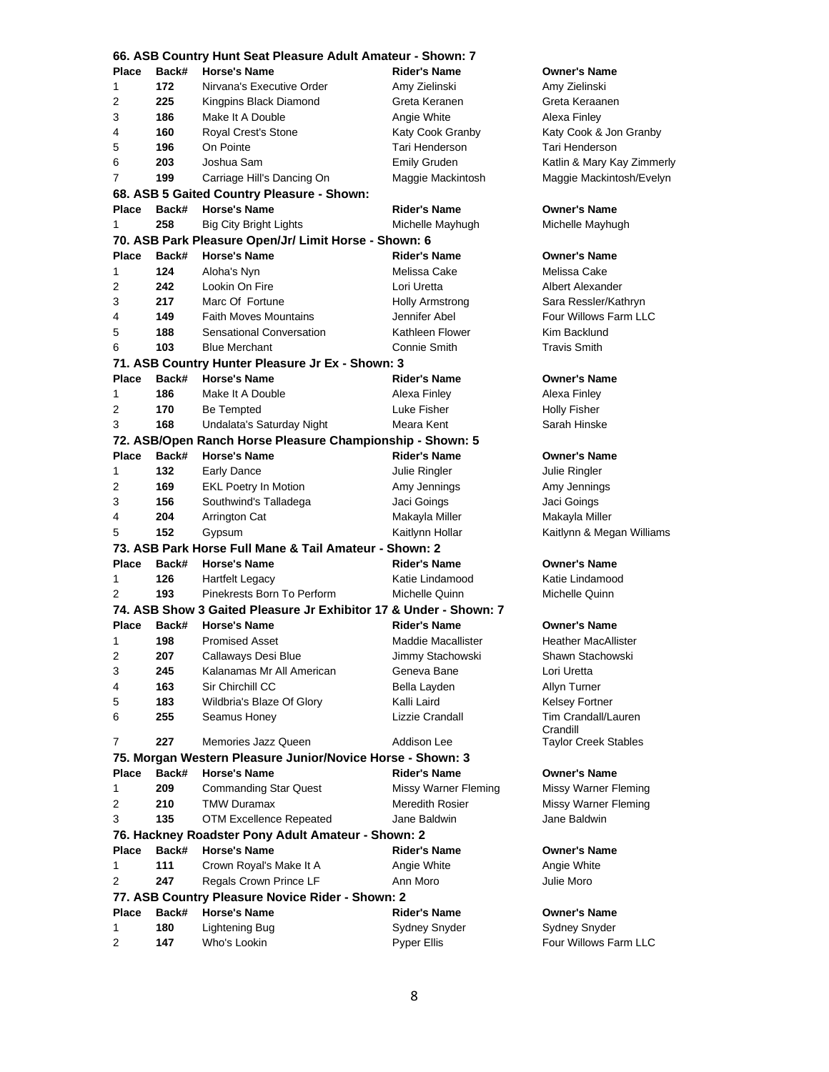|              | 66. ASB Country Hunt Seat Pleasure Adult Amateur - Shown: 7 |                                                                         |                      |                             |  |
|--------------|-------------------------------------------------------------|-------------------------------------------------------------------------|----------------------|-----------------------------|--|
| <b>Place</b> | Back#                                                       | <b>Horse's Name</b>                                                     | <b>Rider's Name</b>  | <b>Owner's Name</b>         |  |
| 1            | 172                                                         | Nirvana's Executive Order                                               | Amy Zielinski        | Amy Zielinski               |  |
| 2            | 225                                                         | Kingpins Black Diamond                                                  | Greta Keranen        | Greta Keraanen              |  |
| 3            | 186                                                         | Make It A Double                                                        | Angie White          | Alexa Finley                |  |
| 4            | 160                                                         | Royal Crest's Stone                                                     | Katy Cook Granby     | Katy Cook & Jon Granby      |  |
| 5            | 196                                                         | On Pointe                                                               | Tari Henderson       | Tari Henderson              |  |
| 6            | 203                                                         | Joshua Sam                                                              | <b>Emily Gruden</b>  | Katlin & Mary Kay Zimmerly  |  |
| 7            | 199                                                         | Carriage Hill's Dancing On                                              | Maggie Mackintosh    | Maggie Mackintosh/Evelyn    |  |
|              |                                                             | 68. ASB 5 Gaited Country Pleasure - Shown:                              |                      |                             |  |
| <b>Place</b> | Back#                                                       | <b>Horse's Name</b>                                                     | <b>Rider's Name</b>  | <b>Owner's Name</b>         |  |
| $\mathbf{1}$ | 258                                                         | <b>Big City Bright Lights</b>                                           | Michelle Mayhugh     | Michelle Mayhugh            |  |
|              |                                                             | 70. ASB Park Pleasure Open/Jr/ Limit Horse - Shown: 6                   |                      |                             |  |
| <b>Place</b> | Back#                                                       | <b>Horse's Name</b>                                                     | <b>Rider's Name</b>  | <b>Owner's Name</b>         |  |
| 1            | 124                                                         | Aloha's Nyn                                                             | Melissa Cake         | Melissa Cake                |  |
| 2            | 242                                                         | Lookin On Fire                                                          | Lori Uretta          | Albert Alexander            |  |
| 3            | 217                                                         | Marc Of Fortune                                                         | Holly Armstrong      | Sara Ressler/Kathryn        |  |
| 4            | 149                                                         | <b>Faith Moves Mountains</b>                                            | Jennifer Abel        | Four Willows Farm LLC       |  |
| 5            | 188                                                         | Sensational Conversation                                                | Kathleen Flower      | Kim Backlund                |  |
| 6            | 103                                                         | <b>Blue Merchant</b>                                                    | Connie Smith         | <b>Travis Smith</b>         |  |
|              |                                                             |                                                                         |                      |                             |  |
| <b>Place</b> | Back#                                                       | 71. ASB Country Hunter Pleasure Jr Ex - Shown: 3<br><b>Horse's Name</b> | <b>Rider's Name</b>  |                             |  |
|              |                                                             |                                                                         |                      | <b>Owner's Name</b>         |  |
| 1            | 186                                                         | Make It A Double                                                        | Alexa Finley         | Alexa Finley                |  |
| 2            | 170                                                         | <b>Be Tempted</b>                                                       | Luke Fisher          | <b>Holly Fisher</b>         |  |
| 3            | 168                                                         | Undalata's Saturday Night                                               | Meara Kent           | Sarah Hinske                |  |
|              |                                                             | 72. ASB/Open Ranch Horse Pleasure Championship - Shown: 5               |                      |                             |  |
| <b>Place</b> | Back#                                                       | <b>Horse's Name</b>                                                     | <b>Rider's Name</b>  | <b>Owner's Name</b>         |  |
| 1            | 132                                                         | <b>Early Dance</b>                                                      | Julie Ringler        | Julie Ringler               |  |
| 2            | 169                                                         | <b>EKL Poetry In Motion</b>                                             | Amy Jennings         | Amy Jennings                |  |
| 3            | 156                                                         | Southwind's Talladega                                                   | Jaci Goings          | Jaci Goings                 |  |
| 4            | 204                                                         | Arrington Cat                                                           | Makayla Miller       | Makayla Miller              |  |
| 5            | 152                                                         | Gypsum                                                                  | Kaitlynn Hollar      | Kaitlynn & Megan Williams   |  |
|              |                                                             | 73. ASB Park Horse Full Mane & Tail Amateur - Shown: 2                  |                      |                             |  |
| <b>Place</b> | Back#                                                       | <b>Horse's Name</b>                                                     | <b>Rider's Name</b>  | <b>Owner's Name</b>         |  |
| 1            | 126                                                         | <b>Hartfelt Legacy</b>                                                  | Katie Lindamood      | Katie Lindamood             |  |
| 2            | 193                                                         | Pinekrests Born To Perform                                              | Michelle Quinn       | Michelle Quinn              |  |
|              |                                                             | 74. ASB Show 3 Gaited Pleasure Jr Exhibitor 17 & Under - Shown: 7       |                      |                             |  |
| <b>Place</b> | Back#                                                       | <b>Horse's Name</b>                                                     | <b>Rider's Name</b>  | <b>Owner's Name</b>         |  |
| 1            | 198                                                         | <b>Promised Asset</b>                                                   | Maddie Macallister   | <b>Heather MacAllister</b>  |  |
| 2            | 207                                                         | Callaways Desi Blue                                                     | Jimmy Stachowski     | Shawn Stachowski            |  |
| 3            | 245                                                         | Kalanamas Mr All American                                               | Geneva Bane          | Lori Uretta                 |  |
| 4            | 163                                                         | Sir Chirchill CC                                                        | Bella Layden         | Allyn Turner                |  |
| 5            | 183                                                         | Wildbria's Blaze Of Glory                                               | Kalli Laird          | <b>Kelsey Fortner</b>       |  |
| 6            | 255                                                         | Seamus Honey                                                            | Lizzie Crandall      | Tim Crandall/Lauren         |  |
|              |                                                             |                                                                         |                      | Crandill                    |  |
| 7            | 227                                                         | Memories Jazz Queen                                                     | Addison Lee          | <b>Taylor Creek Stables</b> |  |
|              |                                                             | 75. Morgan Western Pleasure Junior/Novice Horse - Shown: 3              |                      |                             |  |
| <b>Place</b> | Back#                                                       | <b>Horse's Name</b>                                                     | <b>Rider's Name</b>  | <b>Owner's Name</b>         |  |
| 1            | 209                                                         | <b>Commanding Star Quest</b>                                            | Missy Warner Fleming | Missy Warner Fleming        |  |
| 2            | 210                                                         | <b>TMW Duramax</b>                                                      | Meredith Rosier      | Missy Warner Fleming        |  |
| 3            | 135                                                         | OTM Excellence Repeated                                                 | Jane Baldwin         | Jane Baldwin                |  |
|              |                                                             | 76. Hackney Roadster Pony Adult Amateur - Shown: 2                      |                      |                             |  |
| <b>Place</b> | Back#                                                       | <b>Horse's Name</b>                                                     | <b>Rider's Name</b>  | <b>Owner's Name</b>         |  |
| 1            | 111                                                         | Crown Royal's Make It A                                                 | Angie White          | Angie White                 |  |
| 2            | 247                                                         | Regals Crown Prince LF                                                  | Ann Moro             | Julie Moro                  |  |
|              |                                                             | 77. ASB Country Pleasure Novice Rider - Shown: 2                        |                      |                             |  |
| <b>Place</b> | Back#                                                       | <b>Horse's Name</b>                                                     | <b>Rider's Name</b>  | <b>Owner's Name</b>         |  |
| 1            | 180                                                         | Lightening Bug                                                          | Sydney Snyder        | <b>Sydney Snyder</b>        |  |
| 2            | 147                                                         | Who's Lookin                                                            | Pyper Ellis          | Four Willows Farm LLC       |  |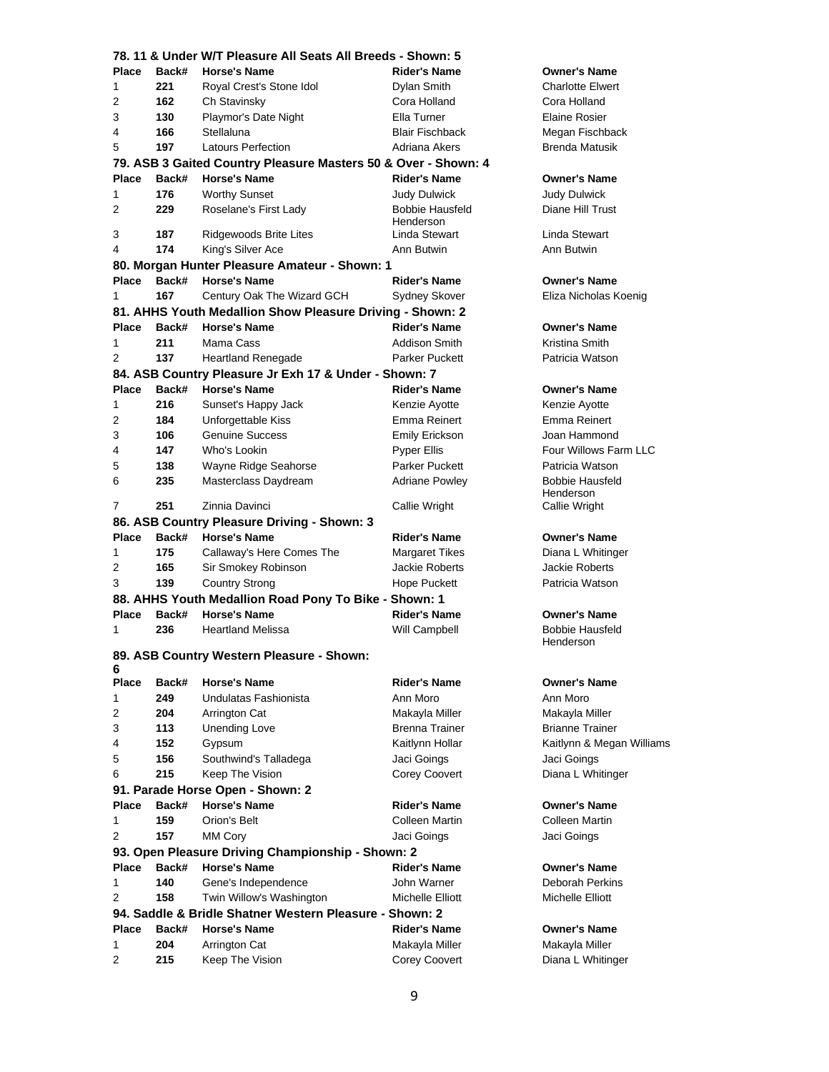|              |              | 78. 11 & Under W/T Pleasure All Seats All Breeds - Shown: 5    |                            |                           |
|--------------|--------------|----------------------------------------------------------------|----------------------------|---------------------------|
| <b>Place</b> | Back#        | <b>Horse's Name</b>                                            | <b>Rider's Name</b>        | <b>Owner's Name</b>       |
| 1            | 221          | Royal Crest's Stone Idol                                       | Dylan Smith                | <b>Charlotte Elwert</b>   |
| 2            | 162          | Ch Stavinsky                                                   | Cora Holland               | Cora Holland              |
| 3            | 130          | Playmor's Date Night                                           | Ella Turner                | <b>Elaine Rosier</b>      |
| 4            | 166          | Stellaluna                                                     | <b>Blair Fischback</b>     | Megan Fischback           |
| 5            | 197          | <b>Latours Perfection</b>                                      | Adriana Akers              | <b>Brenda Matusik</b>     |
|              |              | 79. ASB 3 Gaited Country Pleasure Masters 50 & Over - Shown: 4 |                            |                           |
| Place        | Back#        | <b>Horse's Name</b>                                            | <b>Rider's Name</b>        | <b>Owner's Name</b>       |
| 1            | 176          | <b>Worthy Sunset</b>                                           | Judy Dulwick               | <b>Judy Dulwick</b>       |
| 2            | 229          | Roselane's First Lady                                          | <b>Bobbie Hausfeld</b>     | Diane Hill Trust          |
| 3            | 187          | Ridgewoods Brite Lites                                         | Henderson<br>Linda Stewart | Linda Stewart             |
| 4            | 174          | King's Silver Ace                                              | Ann Butwin                 | Ann Butwin                |
|              |              | 80. Morgan Hunter Pleasure Amateur - Shown: 1                  |                            |                           |
| <b>Place</b> | Back#        | <b>Horse's Name</b>                                            | <b>Rider's Name</b>        | <b>Owner's Name</b>       |
| 1            | 167          | Century Oak The Wizard GCH                                     | <b>Sydney Skover</b>       | Eliza Nicholas Koenig     |
|              |              | 81. AHHS Youth Medallion Show Pleasure Driving - Shown: 2      |                            |                           |
| Place        | Back#        | <b>Horse's Name</b>                                            | <b>Rider's Name</b>        | <b>Owner's Name</b>       |
| 1            | 211          | Mama Cass                                                      | Addison Smith              | Kristina Smith            |
| 2            | 137          | <b>Heartland Renegade</b>                                      | <b>Parker Puckett</b>      | Patricia Watson           |
|              |              | 84. ASB Country Pleasure Jr Exh 17 & Under - Shown: 7          |                            |                           |
| Place        | Back#        | <b>Horse's Name</b>                                            | <b>Rider's Name</b>        | <b>Owner's Name</b>       |
| 1            | 216          | Sunset's Happy Jack                                            | Kenzie Ayotte              | Kenzie Ayotte             |
| 2            | 184          | Unforgettable Kiss                                             | Emma Reinert               | Emma Reinert              |
| 3            | 106          | <b>Genuine Success</b>                                         | <b>Emily Erickson</b>      | Joan Hammond              |
| 4            | 147          | Who's Lookin                                                   | <b>Pyper Ellis</b>         | Four Willows Farm LLC     |
| 5            | 138          | Wayne Ridge Seahorse                                           | <b>Parker Puckett</b>      | Patricia Watson           |
| 6            | 235          | Masterclass Daydream                                           | <b>Adriane Powley</b>      | <b>Bobbie Hausfeld</b>    |
|              |              |                                                                |                            | Henderson                 |
| 7            | 251          | Zinnia Davinci                                                 | Callie Wright              | Callie Wright             |
|              |              | 86. ASB Country Pleasure Driving - Shown: 3                    |                            |                           |
| Place        | Back#        | <b>Horse's Name</b>                                            | <b>Rider's Name</b>        | <b>Owner's Name</b>       |
| 1            | 175          | Callaway's Here Comes The                                      | Margaret Tikes             | Diana L Whitinger         |
| 2            | 165          | Sir Smokey Robinson                                            | Jackie Roberts             | <b>Jackie Roberts</b>     |
| 3            | 139          | <b>Country Strong</b>                                          | Hope Puckett               | Patricia Watson           |
|              |              | 88. AHHS Youth Medallion Road Pony To Bike - Shown: 1          |                            |                           |
| Place        | Back#        | <b>Horse's Name</b>                                            | <b>Rider's Name</b>        | <b>Owner's Name</b>       |
| 1            | 236          | <b>Heartland Melissa</b>                                       | Will Campbell              | <b>Bobbie Hausfeld</b>    |
|              |              |                                                                |                            | Henderson                 |
| 6            |              | 89. ASB Country Western Pleasure - Shown:                      |                            |                           |
| <b>Place</b> | Back#        | <b>Horse's Name</b>                                            | <b>Rider's Name</b>        | <b>Owner's Name</b>       |
| 1            | 249          | Undulatas Fashionista                                          | Ann Moro                   | Ann Moro                  |
| 2            | 204          | Arrington Cat                                                  | Makayla Miller             | Makayla Miller            |
| 3            | 113          | <b>Unending Love</b>                                           | <b>Brenna Trainer</b>      | <b>Brianne Trainer</b>    |
| 4            | 152          | Gypsum                                                         | Kaitlynn Hollar            | Kaitlynn & Megan Williams |
| 5            | 156          | Southwind's Talladega                                          | Jaci Goings                | Jaci Goings               |
| 6            | 215          | Keep The Vision                                                | Corey Coovert              | Diana L Whitinger         |
|              |              | 91. Parade Horse Open - Shown: 2                               |                            |                           |
| Place        | Back#        | <b>Horse's Name</b>                                            | <b>Rider's Name</b>        | <b>Owner's Name</b>       |
| 1            | 159          | Orion's Belt                                                   | Colleen Martin             | Colleen Martin            |
| 2            | 157          | MM Cory                                                        | Jaci Goings                | Jaci Goings               |
|              |              | 93. Open Pleasure Driving Championship - Shown: 2              |                            |                           |
| Place        | Back#        | <b>Horse's Name</b>                                            | <b>Rider's Name</b>        | <b>Owner's Name</b>       |
| 1            | 140          | Gene's Independence                                            | John Warner                | Deborah Perkins           |
| 2            | 158          | Twin Willow's Washington                                       | Michelle Elliott           | Michelle Elliott          |
|              |              | 94. Saddle & Bridle Shatner Western Pleasure - Shown: 2        |                            |                           |
|              |              | <b>Horse's Name</b>                                            | <b>Rider's Name</b>        | Owner's Name              |
| Place        | Back#<br>204 |                                                                |                            |                           |
| 1            |              | Arrington Cat                                                  | Makayla Miller             | Makayla Miller            |
| 2            | 215          | Keep The Vision                                                | Corey Coovert              | Diana L Whitinger         |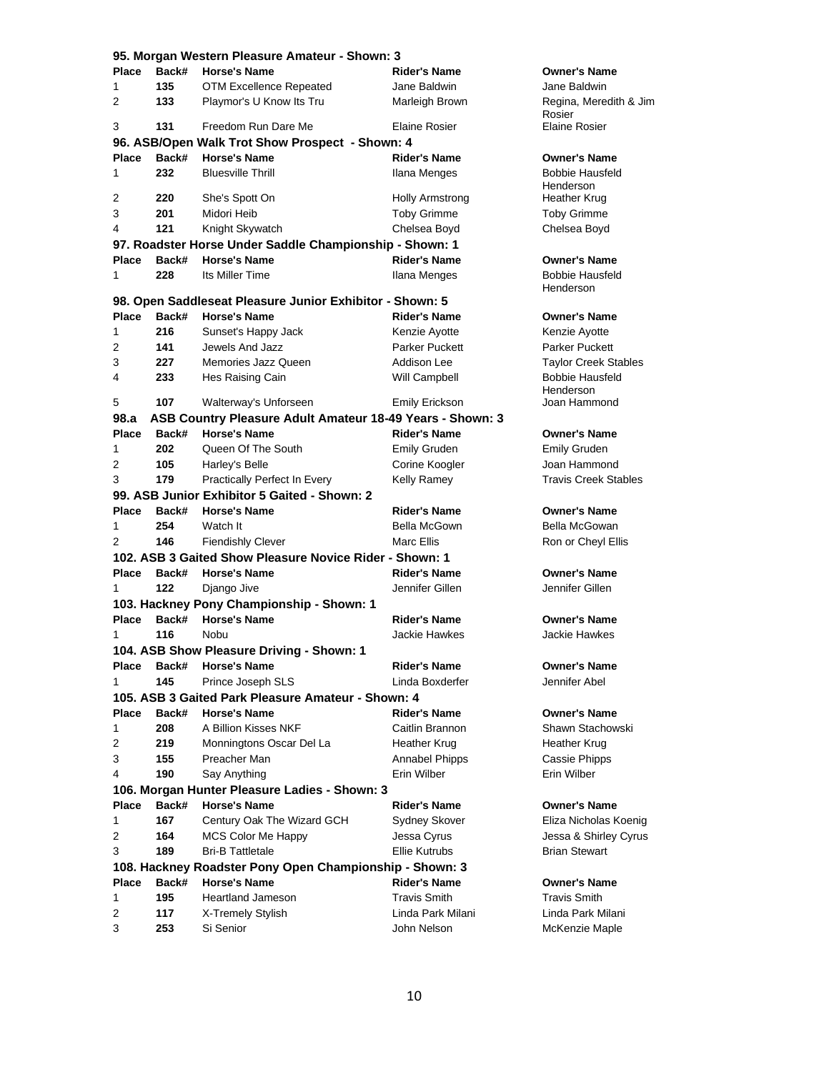| 95. Morgan Western Pleasure Amateur - Shown: 3 |              |                                                                  |                        |                                      |
|------------------------------------------------|--------------|------------------------------------------------------------------|------------------------|--------------------------------------|
| <b>Place</b>                                   | Back#        | <b>Horse's Name</b>                                              | <b>Rider's Name</b>    | <b>Owner's Name</b>                  |
| 1                                              | 135          | <b>OTM Excellence Repeated</b>                                   | Jane Baldwin           | Jane Baldwin                         |
| 2                                              | 133          | Playmor's U Know Its Tru                                         | Marleigh Brown         | Regina, Meredith & Jim<br>Rosier     |
| 3                                              | 131          | Freedom Run Dare Me                                              | <b>Elaine Rosier</b>   | <b>Elaine Rosier</b>                 |
|                                                |              | 96. ASB/Open Walk Trot Show Prospect - Shown: 4                  |                        |                                      |
| <b>Place</b>                                   | Back#        | <b>Horse's Name</b>                                              | <b>Rider's Name</b>    | Owner's Name                         |
| 1                                              | 232          | <b>Bluesville Thrill</b>                                         | Ilana Menges           | <b>Bobbie Hausfeld</b><br>Henderson  |
| 2                                              | 220          | She's Spott On                                                   | <b>Holly Armstrong</b> | Heather Krug                         |
| 3                                              | 201          | Midori Heib                                                      | <b>Toby Grimme</b>     | <b>Toby Grimme</b>                   |
| 4                                              | 121          | Knight Skywatch                                                  | Chelsea Boyd           | Chelsea Boyd                         |
|                                                |              | 97. Roadster Horse Under Saddle Championship - Shown: 1          |                        |                                      |
| <b>Place</b>                                   | Back#        | <b>Horse's Name</b>                                              | <b>Rider's Name</b>    | <b>Owner's Name</b>                  |
| 1                                              | 228          | Its Miller Time                                                  | Ilana Menges           | <b>Bobbie Hausfeld</b>               |
|                                                |              |                                                                  |                        | Henderson                            |
|                                                |              | 98. Open Saddleseat Pleasure Junior Exhibitor - Shown: 5         |                        |                                      |
| <b>Place</b>                                   | Back#        | <b>Horse's Name</b>                                              | <b>Rider's Name</b>    | <b>Owner's Name</b>                  |
| 1                                              | 216          | Sunset's Happy Jack                                              | Kenzie Ayotte          | Kenzie Ayotte                        |
| 2                                              | 141          | Jewels And Jazz                                                  | Parker Puckett         | <b>Parker Puckett</b>                |
| 3                                              | 227          | Memories Jazz Queen                                              | Addison Lee            | <b>Taylor Creek Stables</b>          |
| 4                                              | 233          | Hes Raising Cain                                                 | Will Campbell          | <b>Bobbie Hausfeld</b><br>Henderson  |
| 5                                              | 107          | Walterway's Unforseen                                            | Emily Erickson         | Joan Hammond                         |
| 98.a                                           |              | ASB Country Pleasure Adult Amateur 18-49 Years - Shown: 3        |                        |                                      |
| <b>Place</b>                                   | Back#        | <b>Horse's Name</b>                                              | <b>Rider's Name</b>    | <b>Owner's Name</b>                  |
| 1                                              | 202          | Queen Of The South                                               | <b>Emily Gruden</b>    | <b>Emily Gruden</b>                  |
| 2                                              | 105          | Harley's Belle                                                   | Corine Koogler         | Joan Hammond                         |
| 3                                              | 179          | Practically Perfect In Every                                     | Kelly Ramey            | <b>Travis Creek Stables</b>          |
|                                                |              | 99. ASB Junior Exhibitor 5 Gaited - Shown: 2                     |                        |                                      |
| <b>Place</b>                                   | Back#        | <b>Horse's Name</b>                                              | Rider's Name           | <b>Owner's Name</b>                  |
| 1                                              | 254          | Watch It                                                         | Bella McGown           | Bella McGowan                        |
| 2                                              | 146          | <b>Fiendishly Clever</b>                                         | Marc Ellis             | Ron or Cheyl Ellis                   |
|                                                |              | 102. ASB 3 Gaited Show Pleasure Novice Rider - Shown: 1          |                        |                                      |
| <b>Place</b>                                   | Back#        | <b>Horse's Name</b>                                              | <b>Rider's Name</b>    | <b>Owner's Name</b>                  |
| 1                                              | 122          |                                                                  | Jennifer Gillen        | Jennifer Gillen                      |
|                                                |              | Django Jive                                                      |                        |                                      |
|                                                |              | 103. Hackney Pony Championship - Shown: 1<br><b>Horse's Name</b> | <b>Rider's Name</b>    |                                      |
| <b>Place</b>                                   | Back#<br>116 |                                                                  | Jackie Hawkes          | <b>Owner's Name</b><br>Jackie Hawkes |
| 1                                              |              | Nobu                                                             |                        |                                      |
|                                                |              | 104. ASB Show Pleasure Driving - Shown: 1                        |                        |                                      |
| Place                                          | Back#        | <b>Horse's Name</b>                                              | <b>Rider's Name</b>    | <b>Owner's Name</b>                  |
| 1                                              | 145          | Prince Joseph SLS                                                | Linda Boxderfer        | Jennifer Abel                        |
|                                                |              | 105. ASB 3 Gaited Park Pleasure Amateur - Shown: 4               |                        |                                      |
| <b>Place</b>                                   | Back#        | <b>Horse's Name</b>                                              | <b>Rider's Name</b>    | <b>Owner's Name</b>                  |
| 1                                              | 208          | A Billion Kisses NKF                                             | Caitlin Brannon        | Shawn Stachowski                     |
| 2                                              | 219          | Monningtons Oscar Del La                                         | Heather Krug           | Heather Krug                         |
| 3                                              | 155          | Preacher Man                                                     | Annabel Phipps         | Cassie Phipps                        |
| 4                                              | 190          | Say Anything                                                     | Erin Wilber            | Erin Wilber                          |
|                                                |              | 106. Morgan Hunter Pleasure Ladies - Shown: 3                    |                        |                                      |
| <b>Place</b>                                   | Back#        | <b>Horse's Name</b>                                              | <b>Rider's Name</b>    | <b>Owner's Name</b>                  |
| 1                                              | 167          | Century Oak The Wizard GCH                                       | Sydney Skover          | Eliza Nicholas Koenig                |
| 2                                              | 164          | MCS Color Me Happy                                               | Jessa Cyrus            | Jessa & Shirley Cyrus                |
| 3                                              | 189          | <b>Bri-B Tattletale</b>                                          | <b>Ellie Kutrubs</b>   | <b>Brian Stewart</b>                 |
|                                                |              | 108. Hackney Roadster Pony Open Championship - Shown: 3          |                        |                                      |
| <b>Place</b>                                   | Back#        | <b>Horse's Name</b>                                              | <b>Rider's Name</b>    | <b>Owner's Name</b>                  |
| 1                                              | 195          | <b>Heartland Jameson</b>                                         | <b>Travis Smith</b>    | <b>Travis Smith</b>                  |
| 2                                              | 117          | X-Tremely Stylish                                                | Linda Park Milani      | Linda Park Milani                    |
| 3                                              | 253          | Si Senior                                                        | John Nelson            | McKenzie Maple                       |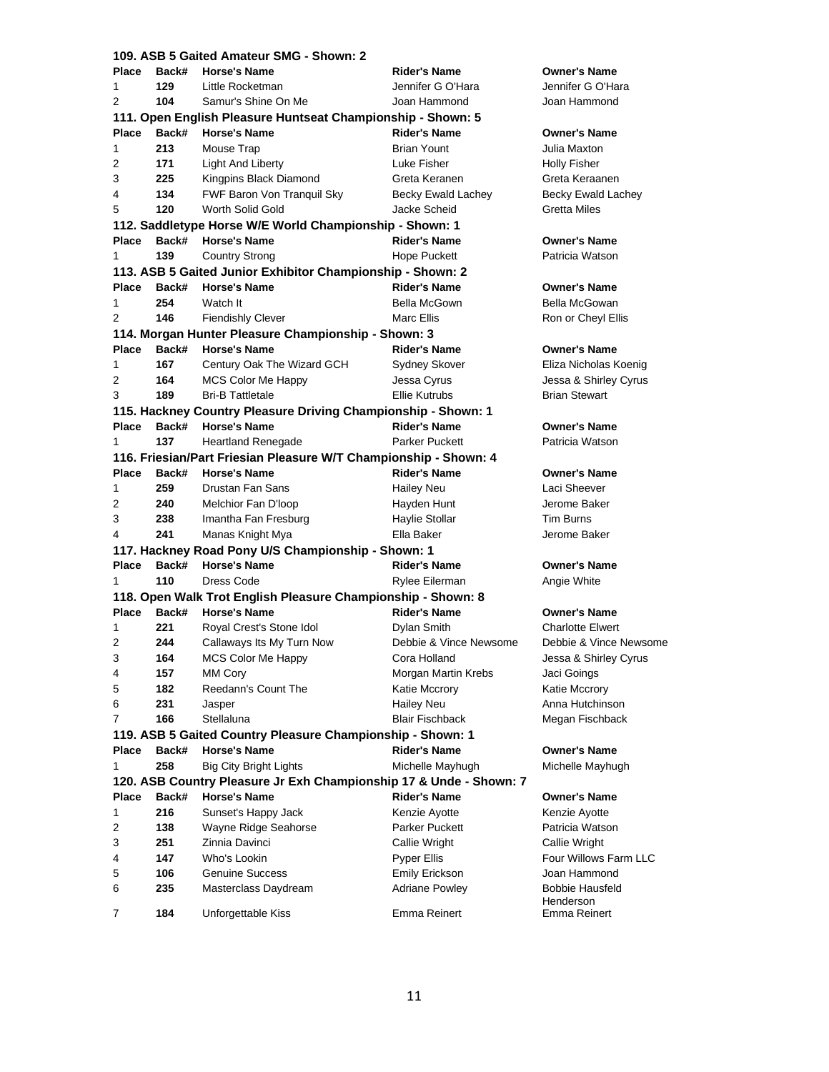|                           |       | 109. ASB 5 Gaited Amateur SMG - Shown: 2                           |                        |                                   |
|---------------------------|-------|--------------------------------------------------------------------|------------------------|-----------------------------------|
| <b>Place</b>              | Back# | <b>Horse's Name</b>                                                | <b>Rider's Name</b>    | <b>Owner's Name</b>               |
| 1                         | 129   | Little Rocketman                                                   | Jennifer G O'Hara      | Jennifer G O'H                    |
| 2                         | 104   | Samur's Shine On Me                                                | Joan Hammond           | Joan Hammon                       |
|                           |       | 111. Open English Pleasure Huntseat Championship - Shown: 5        |                        |                                   |
| <b>Place</b>              | Back# | <b>Horse's Name</b>                                                | <b>Rider's Name</b>    | <b>Owner's Name</b>               |
| 1                         | 213   | Mouse Trap                                                         | <b>Brian Yount</b>     | Julia Maxton                      |
| 2                         | 171   | Light And Liberty                                                  | Luke Fisher            | <b>Holly Fisher</b>               |
| 3                         | 225   | Kingpins Black Diamond                                             | Greta Keranen          | Greta Keraane                     |
| 4                         | 134   | FWF Baron Von Tranquil Sky                                         | Becky Ewald Lachey     | Becky Ewald L                     |
| 5                         | 120   | Worth Solid Gold                                                   | Jacke Scheid           | Gretta Miles                      |
|                           |       | 112. Saddletype Horse W/E World Championship - Shown: 1            |                        |                                   |
| <b>Place</b>              | Back# | <b>Horse's Name</b>                                                | <b>Rider's Name</b>    | <b>Owner's Name</b>               |
| 1                         | 139   | Country Strong                                                     | Hope Puckett           | Patricia Watsor                   |
|                           |       | 113. ASB 5 Gaited Junior Exhibitor Championship - Shown: 2         |                        |                                   |
| <b>Place</b>              | Back# | <b>Horse's Name</b>                                                | <b>Rider's Name</b>    | <b>Owner's Name</b>               |
| 1                         | 254   | Watch It                                                           | Bella McGown           | <b>Bella McGowar</b>              |
| 2                         | 146   | <b>Fiendishly Clever</b>                                           | Marc Ellis             | Ron or Cheyl E                    |
|                           |       | 114. Morgan Hunter Pleasure Championship - Shown: 3                |                        |                                   |
| <b>Place</b>              | Back# | <b>Horse's Name</b>                                                | <b>Rider's Name</b>    | <b>Owner's Name</b>               |
| 1                         | 167   | Century Oak The Wizard GCH                                         | Sydney Skover          | Eliza Nicholas                    |
| 2                         | 164   | MCS Color Me Happy                                                 | Jessa Cyrus            | Jessa & Shirley                   |
| 3                         | 189   | <b>Bri-B Tattletale</b>                                            | Ellie Kutrubs          | <b>Brian Stewart</b>              |
|                           |       | 115. Hackney Country Pleasure Driving Championship - Shown: 1      |                        |                                   |
| <b>Place</b>              | Back# | <b>Horse's Name</b>                                                | <b>Rider's Name</b>    | <b>Owner's Name</b>               |
| 1                         | 137   | <b>Heartland Renegade</b>                                          | <b>Parker Puckett</b>  | Patricia Watsor                   |
|                           |       | 116. Friesian/Part Friesian Pleasure W/T Championship - Shown: 4   |                        |                                   |
| Place                     | Back# | <b>Horse's Name</b>                                                | <b>Rider's Name</b>    | <b>Owner's Name</b>               |
| 1                         | 259   | Drustan Fan Sans                                                   | <b>Hailey Neu</b>      | Laci Sheever                      |
| 2                         | 240   | Melchior Fan D'Ioop                                                | Hayden Hunt            | Jerome Baker                      |
| 3                         | 238   | Imantha Fan Fresburg                                               | Haylie Stollar         | <b>Tim Burns</b>                  |
| 4                         | 241   | Manas Knight Mya                                                   | Ella Baker             | Jerome Baker                      |
|                           |       | 117. Hackney Road Pony U/S Championship - Shown: 1                 |                        |                                   |
| <b>Place</b>              | Back# | <b>Horse's Name</b>                                                | <b>Rider's Name</b>    | <b>Owner's Name</b>               |
| 1                         | 110   | Dress Code                                                         | Rylee Eilerman         | Angie White                       |
|                           |       | 118. Open Walk Trot English Pleasure Championship - Shown: 8       |                        |                                   |
| Place                     | Back# | <b>Horse's Name</b>                                                | <b>Rider's Name</b>    | <b>Owner's Name</b>               |
| 1                         | 221   | Royal Crest's Stone Idol                                           |                        | <b>Charlotte Elwer</b>            |
|                           |       |                                                                    | Dylan Smith            |                                   |
| 2                         | 244   | Callaways Its My Turn Now                                          | Debbie & Vince Newsome | Debbie & Vince                    |
| $\ensuremath{\mathsf{3}}$ | 164   | MCS Color Me Happy                                                 | Cora Holland           | Jessa & Shirley                   |
| 4                         | 157   | MM Cory                                                            | Morgan Martin Krebs    | Jaci Goings                       |
| 5                         | 182   | Reedann's Count The                                                | Katie Mccrory          | Katie Mccrory                     |
| 6                         | 231   | Jasper                                                             | <b>Hailey Neu</b>      | Anna Hutchins                     |
| 7                         | 166   | Stellaluna                                                         | <b>Blair Fischback</b> | Megan Fischba                     |
|                           |       | 119. ASB 5 Gaited Country Pleasure Championship - Shown: 1         |                        |                                   |
| <b>Place</b>              | Back# | <b>Horse's Name</b>                                                | <b>Rider's Name</b>    | <b>Owner's Name</b>               |
| 1                         | 258   | <b>Big City Bright Lights</b>                                      | Michelle Mayhugh       | Michelle Mayhı                    |
|                           |       | 120. ASB Country Pleasure Jr Exh Championship 17 & Unde - Shown: 7 |                        |                                   |
| <b>Place</b>              | Back# | <b>Horse's Name</b>                                                | <b>Rider's Name</b>    | <b>Owner's Name</b>               |
| 1                         | 216   | Sunset's Happy Jack                                                | Kenzie Ayotte          | Kenzie Ayotte                     |
| 2                         | 138   | Wayne Ridge Seahorse                                               | Parker Puckett         | Patricia Watsor                   |
| 3                         | 251   | Zinnia Davinci                                                     | Callie Wright          | Callie Wright                     |
| 4                         | 147   | Who's Lookin                                                       | Pyper Ellis            | Four Willows F                    |
| 5                         | 106   | <b>Genuine Success</b>                                             | Emily Erickson         | Joan Hammon                       |
| 6                         | 235   | Masterclass Daydream                                               | <b>Adriane Powley</b>  | <b>Bobbie Hausfe</b><br>Henderson |
| 7                         | 184   | Unforgettable Kiss                                                 | Emma Reinert           | Emma Reinert                      |

**Owner's Name** Jennifer G O'Hara **Joan Hammond Place Back# Horse's Name Rider's Name Owner's Name Julia Maxton Holly Fisher Greta Keraanen Becky Ewald Lachey Gretta Miles** 

#### **Place Back# Horse's Name Rider's Name Owner's Name**

Patricia Watson

**Place Back# Horse's Name Rider's Name Owner's Name Bella McGowan** Ron or Cheyl Ellis

# **Owner's Name**

**Eliza Nicholas Koenig** Jessa & Shirley Cyrus **Brian Stewart** 

**Place Back# Horse's Name Rider's Name Owner's Name**

Patricia Watson

**Place Back# Horse's Name Rider's Name Owner's Name**

**Owner's Name Angie White** 

### **Place Back# Horse's Name Rider's Name Owner's Name**

**Charlotte Elwert Debbie & Vince Newsome Jessa & Shirley Cyrus Jaci Goings** Katie Mccrory **Anna Hutchinson Megan Fischback** 

#### **Owner's Name**

**Michelle Mayhugh** 

#### **Owner's Name**

**Kenzie Ayotte Patricia Watson Callie Wright** Four Willows Farm LLC Joan Hammond **Bobbie Hausfeld** Henderson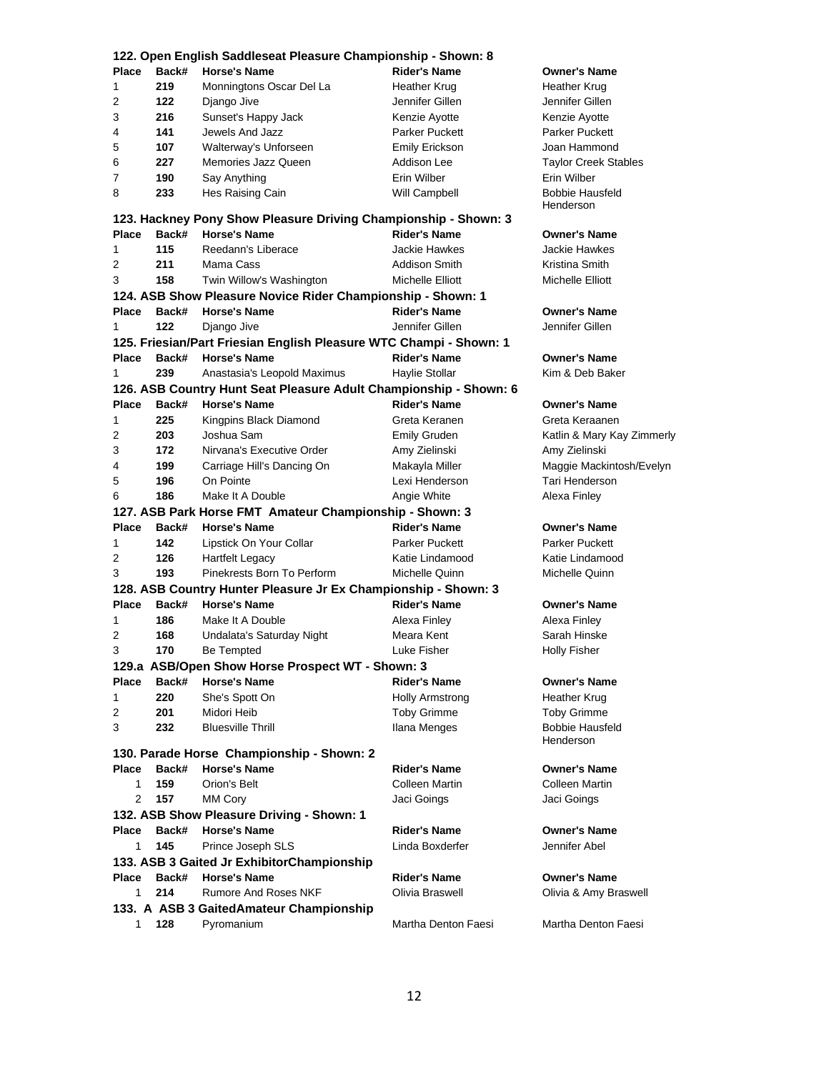|              |            | 122. Open English Saddleseat Pleasure Championship - Shown: 8      |                                 |                                           |
|--------------|------------|--------------------------------------------------------------------|---------------------------------|-------------------------------------------|
| <b>Place</b> | Back#      | <b>Horse's Name</b>                                                | <b>Rider's Name</b>             | <b>Owner's Name</b>                       |
| 1            | 219        | Monningtons Oscar Del La                                           | Heather Krug                    | Heather Krug                              |
| 2            | 122        | Django Jive                                                        | Jennifer Gillen                 | Jennifer Gillen                           |
| 3            | 216        | Sunset's Happy Jack                                                | Kenzie Ayotte                   | Kenzie Ayotte                             |
| 4            | 141        | Jewels And Jazz                                                    | Parker Puckett                  | <b>Parker Puckett</b>                     |
| 5            | 107        | Walterway's Unforseen                                              | Emily Erickson                  | Joan Hammond                              |
| 6            | 227        | Memories Jazz Queen                                                | Addison Lee                     | <b>Taylor Creek Stables</b>               |
| 7            | 190        | Say Anything                                                       | Erin Wilber                     | Erin Wilber                               |
| 8            | 233        | Hes Raising Cain                                                   | Will Campbell                   | <b>Bobbie Hausfeld</b><br>Henderson       |
|              |            | 123. Hackney Pony Show Pleasure Driving Championship - Shown: 3    |                                 |                                           |
| <b>Place</b> | Back#      | <b>Horse's Name</b>                                                | <b>Rider's Name</b>             | <b>Owner's Name</b>                       |
| 1            | 115        | Reedann's Liberace                                                 | Jackie Hawkes                   | Jackie Hawkes                             |
| 2            | 211        | Mama Cass                                                          | Addison Smith                   | Kristina Smith                            |
| 3            | 158        | Twin Willow's Washington                                           | Michelle Elliott                | Michelle Elliott                          |
|              |            | 124. ASB Show Pleasure Novice Rider Championship - Shown: 1        |                                 |                                           |
| Place        | Back#      | <b>Horse's Name</b>                                                | <b>Rider's Name</b>             | <b>Owner's Name</b>                       |
| 1            | 122        | Django Jive                                                        | Jennifer Gillen                 | Jennifer Gillen                           |
|              |            | 125. Friesian/Part Friesian English Pleasure WTC Champi - Shown: 1 |                                 |                                           |
| <b>Place</b> | Back#      | <b>Horse's Name</b>                                                | <b>Rider's Name</b>             | <b>Owner's Name</b>                       |
| 1            | 239        | Anastasia's Leopold Maximus                                        | Haylie Stollar                  | Kim & Deb Baker                           |
|              |            | 126. ASB Country Hunt Seat Pleasure Adult Championship - Shown: 6  |                                 |                                           |
| <b>Place</b> | Back#      | <b>Horse's Name</b>                                                | <b>Rider's Name</b>             | <b>Owner's Name</b>                       |
| 1            | 225        | Kingpins Black Diamond                                             | Greta Keranen                   | Greta Keraanen                            |
| 2<br>3       | 203<br>172 | Joshua Sam<br>Nirvana's Executive Order                            | <b>Emily Gruden</b>             | Katlin & Mary Kay Zimmerly                |
| 4            | 199        | Carriage Hill's Dancing On                                         | Amy Zielinski<br>Makayla Miller | Amy Zielinski<br>Maggie Mackintosh/Evelyn |
| 5            | 196        | On Pointe                                                          | Lexi Henderson                  | Tari Henderson                            |
| 6            | 186        | Make It A Double                                                   | Angie White                     | Alexa Finley                              |
|              |            | 127. ASB Park Horse FMT Amateur Championship - Shown: 3            |                                 |                                           |
| <b>Place</b> | Back#      | <b>Horse's Name</b>                                                | <b>Rider's Name</b>             | <b>Owner's Name</b>                       |
| 1            | 142        | Lipstick On Your Collar                                            | <b>Parker Puckett</b>           | <b>Parker Puckett</b>                     |
| 2            | 126        | Hartfelt Legacy                                                    | Katie Lindamood                 | Katie Lindamood                           |
| 3            | 193        | Pinekrests Born To Perform                                         | Michelle Quinn                  | Michelle Quinn                            |
|              |            | 128. ASB Country Hunter Pleasure Jr Ex Championship - Shown: 3     |                                 |                                           |
| <b>Place</b> | Back#      | <b>Horse's Name</b>                                                | <b>Rider's Name</b>             | <b>Owner's Name</b>                       |
| 1            | 186        | Make It A Double                                                   | Alexa Finley                    | Alexa Finley                              |
| 2            | 168        | Undalata's Saturday Night                                          | Meara Kent                      | Sarah Hinske                              |
| 3            | 170        | <b>Be Tempted</b>                                                  | Luke Fisher                     | Holly Fisher                              |
|              |            | 129.a ASB/Open Show Horse Prospect WT - Shown: 3                   |                                 |                                           |
| Place        | Back#      | <b>Horse's Name</b>                                                | <b>Rider's Name</b>             | <b>Owner's Name</b>                       |
| 1            | 220        | She's Spott On                                                     | Holly Armstrong                 | Heather Krug                              |
| 2            | 201        | Midori Heib                                                        | <b>Toby Grimme</b>              | <b>Toby Grimme</b>                        |
| 3            | 232        | <b>Bluesville Thrill</b>                                           | Ilana Menges                    | <b>Bobbie Hausfeld</b><br>Henderson       |
|              |            | 130. Parade Horse Championship - Shown: 2                          |                                 |                                           |
| <b>Place</b> | Back#      | <b>Horse's Name</b>                                                | <b>Rider's Name</b>             | <b>Owner's Name</b>                       |
| 1            | 159        | Orion's Belt                                                       | Colleen Martin                  | Colleen Martin                            |
| 2            | 157        | MM Cory                                                            | Jaci Goings                     | Jaci Goings                               |
|              |            | 132. ASB Show Pleasure Driving - Shown: 1                          |                                 |                                           |
| <b>Place</b> | Back#      | <b>Horse's Name</b>                                                | <b>Rider's Name</b>             | <b>Owner's Name</b>                       |
| 1            | 145        | Prince Joseph SLS                                                  | Linda Boxderfer                 | Jennifer Abel                             |
|              |            | 133. ASB 3 Gaited Jr ExhibitorChampionship                         |                                 |                                           |
| Place        | Back#      | <b>Horse's Name</b>                                                | <b>Rider's Name</b>             | <b>Owner's Name</b>                       |
| 1            | 214        | Rumore And Roses NKF                                               | Olivia Braswell                 | Olivia & Amy Braswell                     |
|              |            | 133. A ASB 3 GaitedAmateur Championship                            |                                 |                                           |
| 1            | 128        | Pyromanium                                                         | Martha Denton Faesi             | Martha Denton Faesi                       |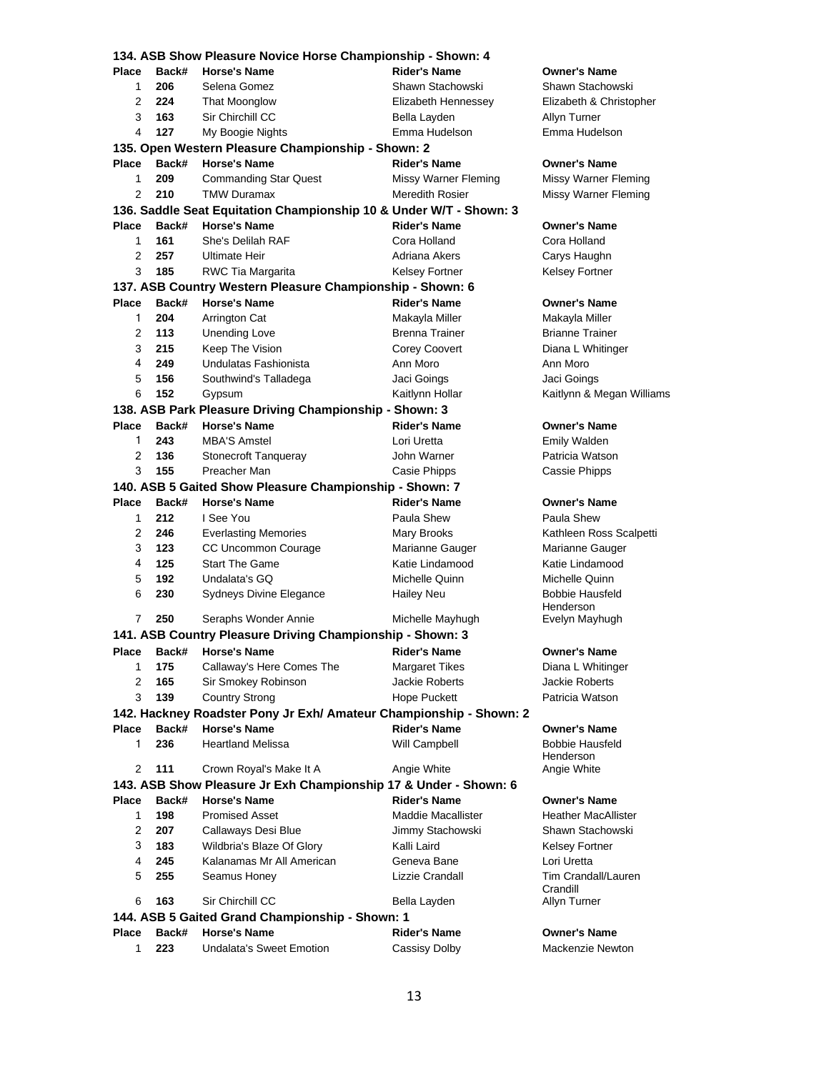| 134. ASB Show Pleasure Novice Horse Championship - Shown: 4        |       |                                                                  |                           |                                 |  |  |  |  |
|--------------------------------------------------------------------|-------|------------------------------------------------------------------|---------------------------|---------------------------------|--|--|--|--|
| Place                                                              | Back# | <b>Horse's Name</b>                                              | <b>Rider's Name</b>       | <b>Owner's Name</b>             |  |  |  |  |
| 1                                                                  | 206   | Selena Gomez                                                     | Shawn Stachowski          | Shawn Stachowski                |  |  |  |  |
| 2                                                                  | 224   | <b>That Moonglow</b>                                             | Elizabeth Hennessey       | Elizabeth & Christopher         |  |  |  |  |
| 3                                                                  | 163   | Sir Chirchill CC                                                 | Bella Layden              | Allyn Turner                    |  |  |  |  |
| 4                                                                  | 127   | My Boogie Nights                                                 | Emma Hudelson             | Emma Hudelson                   |  |  |  |  |
| 135. Open Western Pleasure Championship - Shown: 2                 |       |                                                                  |                           |                                 |  |  |  |  |
| Place                                                              | Back# | <b>Horse's Name</b>                                              | <b>Rider's Name</b>       | <b>Owner's Name</b>             |  |  |  |  |
| 1                                                                  | 209   | <b>Commanding Star Quest</b>                                     | Missy Warner Fleming      | Missy Warner Fleming            |  |  |  |  |
| 2                                                                  | 210   | <b>TMW Duramax</b>                                               | Meredith Rosier           | Missy Warner Fleming            |  |  |  |  |
| 136. Saddle Seat Equitation Championship 10 & Under W/T - Shown: 3 |       |                                                                  |                           |                                 |  |  |  |  |
| Place                                                              | Back# | <b>Horse's Name</b>                                              | <b>Rider's Name</b>       | Owner's Name                    |  |  |  |  |
| 1                                                                  | 161   | She's Delilah RAF                                                | Cora Holland              | Cora Holland                    |  |  |  |  |
| 2                                                                  | 257   | Ultimate Heir                                                    | Adriana Akers             | Carys Haughn                    |  |  |  |  |
| 3                                                                  | 185   | RWC Tia Margarita                                                | Kelsey Fortner            | Kelsey Fortner                  |  |  |  |  |
| 137. ASB Country Western Pleasure Championship - Shown: 6          |       |                                                                  |                           |                                 |  |  |  |  |
| Place                                                              | Back# | <b>Horse's Name</b>                                              | <b>Rider's Name</b>       | <b>Owner's Name</b>             |  |  |  |  |
| 1                                                                  | 204   | Arrington Cat                                                    | Makayla Miller            | Makayla Miller                  |  |  |  |  |
| 2                                                                  | 113   | <b>Unending Love</b>                                             | Brenna Trainer            | <b>Brianne Trainer</b>          |  |  |  |  |
| 3                                                                  | 215   | Keep The Vision                                                  | Corey Coovert             | Diana L Whitinger               |  |  |  |  |
| 4                                                                  | 249   | Undulatas Fashionista                                            | Ann Moro                  | Ann Moro                        |  |  |  |  |
| 5                                                                  | 156   | Southwind's Talladega                                            | Jaci Goings               | Jaci Goings                     |  |  |  |  |
| 6                                                                  | 152   | Gypsum                                                           | Kaitlynn Hollar           | Kaitlynn & Megan Williams       |  |  |  |  |
|                                                                    |       | 138. ASB Park Pleasure Driving Championship - Shown: 3           |                           |                                 |  |  |  |  |
| <b>Place</b>                                                       | Back# | <b>Horse's Name</b>                                              | <b>Rider's Name</b>       | <b>Owner's Name</b>             |  |  |  |  |
| 1                                                                  | 243   | <b>MBA'S Amstel</b>                                              | Lori Uretta               | Emily Walden                    |  |  |  |  |
| 2                                                                  | 136   | <b>Stonecroft Tanqueray</b>                                      | John Warner               | Patricia Watson                 |  |  |  |  |
| 3                                                                  | 155   | Preacher Man                                                     | Casie Phipps              | Cassie Phipps                   |  |  |  |  |
|                                                                    |       | 140. ASB 5 Gaited Show Pleasure Championship - Shown: 7          |                           |                                 |  |  |  |  |
| Place                                                              | Back# | <b>Horse's Name</b>                                              | <b>Rider's Name</b>       | <b>Owner's Name</b>             |  |  |  |  |
| 1                                                                  | 212   | I See You                                                        | Paula Shew                | Paula Shew                      |  |  |  |  |
| 2                                                                  | 246   | <b>Everlasting Memories</b>                                      | Mary Brooks               | Kathleen Ross Scalpetti         |  |  |  |  |
| 3                                                                  | 123   | CC Uncommon Courage                                              | Marianne Gauger           | Marianne Gauger                 |  |  |  |  |
| 4                                                                  | 125   | Start The Game                                                   | Katie Lindamood           | Katie Lindamood                 |  |  |  |  |
| 5                                                                  | 192   | Undalata's GQ                                                    | Michelle Quinn            | Michelle Quinn                  |  |  |  |  |
| 6                                                                  | 230   | Sydneys Divine Elegance                                          | <b>Hailey Neu</b>         | <b>Bobbie Hausfeld</b>          |  |  |  |  |
|                                                                    |       |                                                                  |                           | Henderson                       |  |  |  |  |
| 7                                                                  | 250   | Seraphs Wonder Annie                                             | Michelle Mayhugh          | Evelyn Mayhugh                  |  |  |  |  |
|                                                                    |       | 141. ASB Country Pleasure Driving Championship - Shown: 3        |                           |                                 |  |  |  |  |
| Place                                                              | Back# | <b>Horse's Name</b>                                              | <b>Rider's Name</b>       | <b>Owner's Name</b>             |  |  |  |  |
| 1                                                                  | 175   | Callaway's Here Comes The                                        | <b>Margaret Tikes</b>     | Diana L Whitinger               |  |  |  |  |
| 2                                                                  | 165   | Sir Smokey Robinson                                              | <b>Jackie Roberts</b>     | Jackie Roberts                  |  |  |  |  |
| 3                                                                  | 139   | <b>Country Strong</b>                                            | Hope Puckett              | Patricia Watson                 |  |  |  |  |
| 142. Hackney Roadster Pony Jr Exh/ Amateur Championship - Shown: 2 |       |                                                                  |                           |                                 |  |  |  |  |
| <b>Place</b>                                                       | Back# | <b>Horse's Name</b>                                              | <b>Rider's Name</b>       | <b>Owner's Name</b>             |  |  |  |  |
| 1                                                                  | 236   | <b>Heartland Melissa</b>                                         | Will Campbell             | Bobbie Hausfeld                 |  |  |  |  |
|                                                                    |       |                                                                  |                           | Henderson                       |  |  |  |  |
| 2                                                                  | 111   | Crown Royal's Make It A                                          | Angie White               | Angie White                     |  |  |  |  |
|                                                                    |       | 143. ASB Show Pleasure Jr Exh Championship 17 & Under - Shown: 6 |                           |                                 |  |  |  |  |
| Place                                                              | Back# | <b>Horse's Name</b>                                              | <b>Rider's Name</b>       | <b>Owner's Name</b>             |  |  |  |  |
| 1                                                                  | 198   | <b>Promised Asset</b>                                            | <b>Maddie Macallister</b> | <b>Heather MacAllister</b>      |  |  |  |  |
| 2                                                                  | 207   | Callaways Desi Blue                                              | Jimmy Stachowski          | Shawn Stachowski                |  |  |  |  |
| 3                                                                  | 183   | Wildbria's Blaze Of Glory                                        | Kalli Laird               | Kelsey Fortner                  |  |  |  |  |
| 4                                                                  | 245   | Kalanamas Mr All American                                        | Geneva Bane               | Lori Uretta                     |  |  |  |  |
| 5                                                                  | 255   | Seamus Honey                                                     | Lizzie Crandall           | Tim Crandall/Lauren<br>Crandill |  |  |  |  |
| 6                                                                  | 163   | Sir Chirchill CC                                                 | Bella Layden              | Allyn Turner                    |  |  |  |  |
| 144. ASB 5 Gaited Grand Championship - Shown: 1                    |       |                                                                  |                           |                                 |  |  |  |  |
| Place                                                              | Back# | <b>Horse's Name</b>                                              | <b>Rider's Name</b>       | Owner's Name                    |  |  |  |  |
| 1                                                                  | 223   | <b>Undalata's Sweet Emotion</b>                                  | Cassisy Dolby             | Mackenzie Newton                |  |  |  |  |
|                                                                    |       |                                                                  |                           |                                 |  |  |  |  |